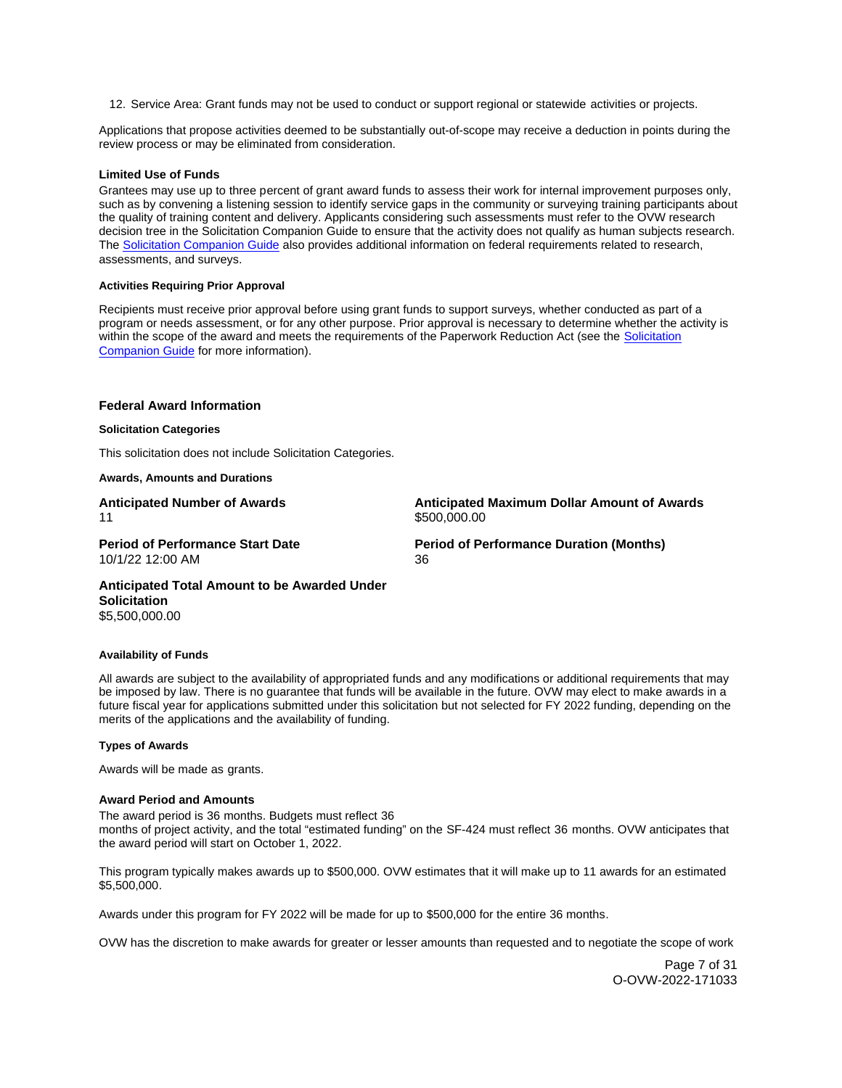12. Service Area: Grant funds may not be used to conduct or support regional or statewide activities or projects.

Applications that propose activities deemed to be substantially out-of-scope may receive a deduction in points during the review process or may be eliminated from consideration.

## **Limited Use of Funds**

Grantees may use up to three percent of grant award funds to assess their work for internal improvement purposes only, such as by convening a listening session to identify service gaps in the community or surveying training participants about the quality of training content and delivery. Applicants considering such assessments must refer to the OVW research decision tree in the Solicitation Companion Guide to ensure that the activity does not qualify as human subjects research. The [Solicitation Companion Guide](https://www.justice.gov/ovw/resources-applicants) also provides additional information on federal requirements related to research, assessments, and surveys.

### **Activities Requiring Prior Approval**

Recipients must receive prior approval before using grant funds to support surveys, whether conducted as part of a program or needs assessment, or for any other purpose. Prior approval is necessary to determine whether the activity is within the scope of the award and meets the requirements of the Paperwork Reduction Act (see the [Solicitation](https://www.justice.gov/ovw/resources-applicants)  [Companion Guide](https://www.justice.gov/ovw/resources-applicants) for more information).

#### **Federal Award Information**

#### **Solicitation Categories**

This solicitation does not include Solicitation Categories.

**Awards, Amounts and Durations** 

**Anticipated Number of Awards**  11

**Anticipated Maximum Dollar Amount of Awards**  \$500,000.00

**Period of Performance Start Date**  10/1/22 12:00 AM

**Period of Performance Duration (Months)**  36

**Anticipated Total Amount to be Awarded Under Solicitation**  \$5,500,000.00

#### **Availability of Funds**

All awards are subject to the availability of appropriated funds and any modifications or additional requirements that may be imposed by law. There is no guarantee that funds will be available in the future. OVW may elect to make awards in a future fiscal year for applications submitted under this solicitation but not selected for FY 2022 funding, depending on the merits of the applications and the availability of funding.

#### **Types of Awards**

Awards will be made as grants.

## **Award Period and Amounts**

 months of project activity, and the total "estimated funding" on the SF-424 must reflect 36 months. OVW anticipates that The award period is 36 months. Budgets must reflect 36 the award period will start on October 1, 2022.

This program typically makes awards up to \$500,000. OVW estimates that it will make up to 11 awards for an estimated \$5,500,000.

Awards under this program for FY 2022 will be made for up to \$500,000 for the entire 36 months.

OVW has the discretion to make awards for greater or lesser amounts than requested and to negotiate the scope of work

Page 7 of 31 O-OVW-2022-171033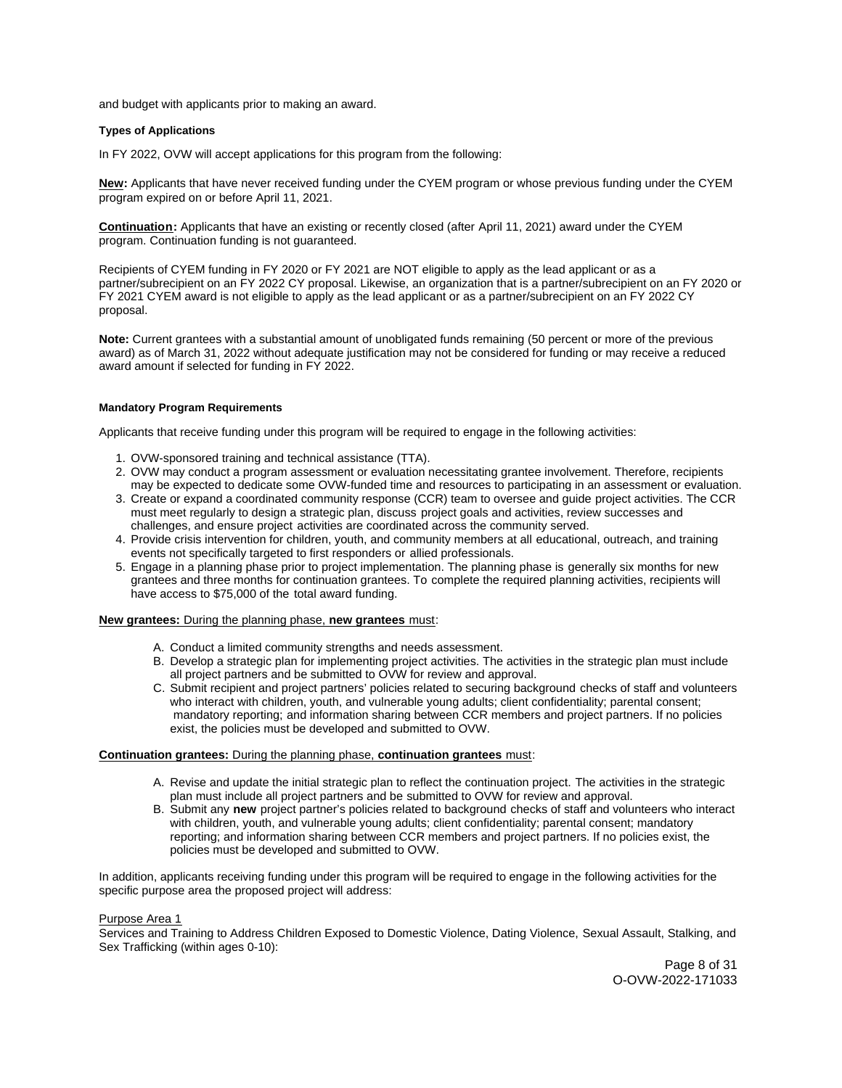and budget with applicants prior to making an award.

# **Types of Applications**

In FY 2022, OVW will accept applications for this program from the following:

**New:** Applicants that have never received funding under the CYEM program or whose previous funding under the CYEM program expired on or before April 11, 2021.

**Continuation:** Applicants that have an existing or recently closed (after April 11, 2021) award under the CYEM program. Continuation funding is not guaranteed.

Recipients of CYEM funding in FY 2020 or FY 2021 are NOT eligible to apply as the lead applicant or as a partner/subrecipient on an FY 2022 CY proposal. Likewise, an organization that is a partner/subrecipient on an FY 2020 or FY 2021 CYEM award is not eligible to apply as the lead applicant or as a partner/subrecipient on an FY 2022 CY proposal.

**Note:** Current grantees with a substantial amount of unobligated funds remaining (50 percent or more of the previous award) as of March 31, 2022 without adequate justification may not be considered for funding or may receive a reduced award amount if selected for funding in FY 2022.

## **Mandatory Program Requirements**

Applicants that receive funding under this program will be required to engage in the following activities:

- 1. OVW-sponsored training and technical assistance (TTA).
- 2. OVW may conduct a program assessment or evaluation necessitating grantee involvement. Therefore, recipients may be expected to dedicate some OVW-funded time and resources to participating in an assessment or evaluation.
- 3. Create or expand a coordinated community response (CCR) team to oversee and guide project activities. The CCR must meet regularly to design a strategic plan, discuss project goals and activities, review successes and challenges, and ensure project activities are coordinated across the community served.
- 4. Provide crisis intervention for children, youth, and community members at all educational, outreach, and training events not specifically targeted to first responders or allied professionals.
- 5. Engage in a planning phase prior to project implementation. The planning phase is generally six months for new grantees and three months for continuation grantees. To complete the required planning activities, recipients will have access to \$75,000 of the total award funding.

# **New grantees:** During the planning phase, **new grantees** must:

- A. Conduct a limited community strengths and needs assessment.
- B. Develop a strategic plan for implementing project activities. The activities in the strategic plan must include all project partners and be submitted to OVW for review and approval.
- C. Submit recipient and project partners' policies related to securing background checks of staff and volunteers who interact with children, youth, and vulnerable young adults; client confidentiality; parental consent; mandatory reporting; and information sharing between CCR members and project partners. If no policies exist, the policies must be developed and submitted to OVW.

## **Continuation grantees:** During the planning phase, **continuation grantees** must:

- A. Revise and update the initial strategic plan to reflect the continuation project. The activities in the strategic plan must include all project partners and be submitted to OVW for review and approval.
- B. Submit any **new** project partner's policies related to background checks of staff and volunteers who interact with children, youth, and vulnerable young adults; client confidentiality; parental consent; mandatory reporting; and information sharing between CCR members and project partners. If no policies exist, the policies must be developed and submitted to OVW.

In addition, applicants receiving funding under this program will be required to engage in the following activities for the specific purpose area the proposed project will address:

#### Purpose Area 1

Services and Training to Address Children Exposed to Domestic Violence, Dating Violence, Sexual Assault, Stalking, and Sex Trafficking (within ages 0-10):

> Page 8 of 31 O-OVW-2022-171033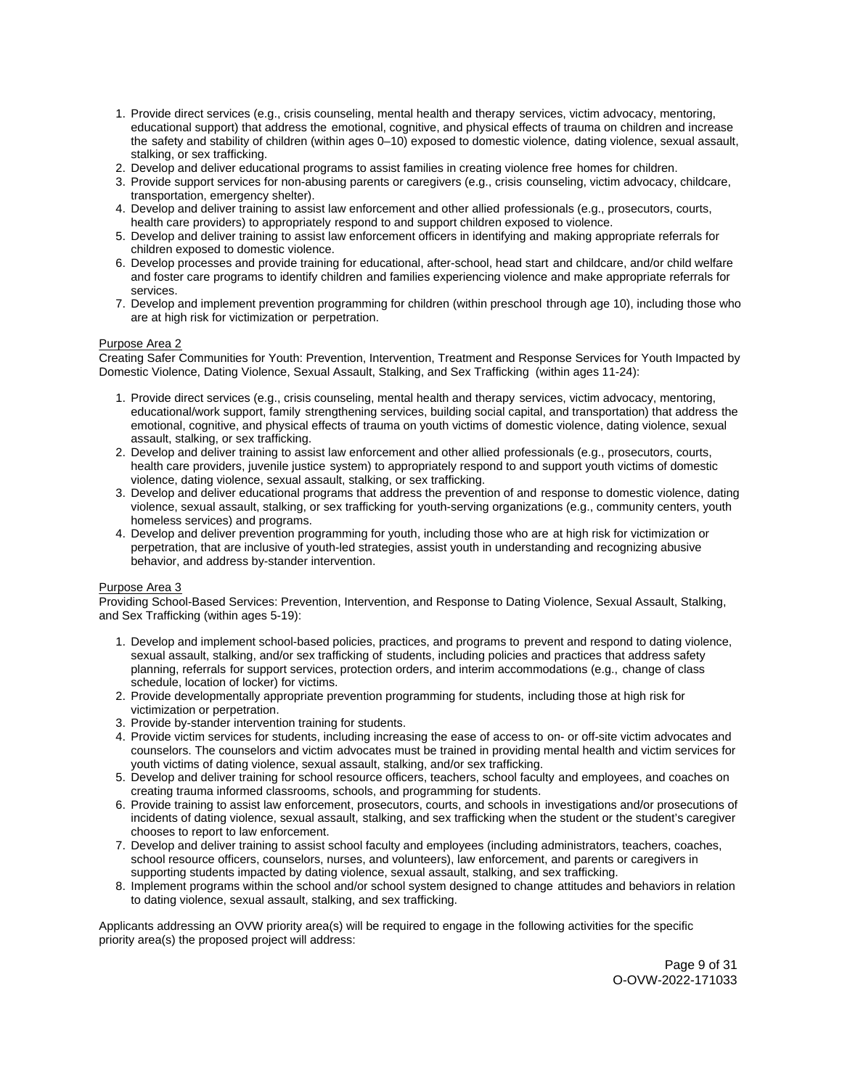- 1. Provide direct services (e.g., crisis counseling, mental health and therapy services, victim advocacy, mentoring, educational support) that address the emotional, cognitive, and physical effects of trauma on children and increase the safety and stability of children (within ages 0–10) exposed to domestic violence, dating violence, sexual assault, stalking, or sex trafficking.
- 2. Develop and deliver educational programs to assist families in creating violence free homes for children.
- 3. Provide support services for non-abusing parents or caregivers (e.g., crisis counseling, victim advocacy, childcare, transportation, emergency shelter).
- 4. Develop and deliver training to assist law enforcement and other allied professionals (e.g., prosecutors, courts, health care providers) to appropriately respond to and support children exposed to violence.
- 5. Develop and deliver training to assist law enforcement officers in identifying and making appropriate referrals for children exposed to domestic violence.
- 6. Develop processes and provide training for educational, after-school, head start and childcare, and/or child welfare and foster care programs to identify children and families experiencing violence and make appropriate referrals for services.
- 7. Develop and implement prevention programming for children (within preschool through age 10), including those who are at high risk for victimization or perpetration.

# Purpose Area 2

Creating Safer Communities for Youth: Prevention, Intervention, Treatment and Response Services for Youth Impacted by Domestic Violence, Dating Violence, Sexual Assault, Stalking, and Sex Trafficking (within ages 11-24):

- 1. Provide direct services (e.g., crisis counseling, mental health and therapy services, victim advocacy, mentoring, educational/work support, family strengthening services, building social capital, and transportation) that address the emotional, cognitive, and physical effects of trauma on youth victims of domestic violence, dating violence, sexual assault, stalking, or sex trafficking.
- 2. Develop and deliver training to assist law enforcement and other allied professionals (e.g., prosecutors, courts, health care providers, juvenile justice system) to appropriately respond to and support youth victims of domestic violence, dating violence, sexual assault, stalking, or sex trafficking.
- 3. Develop and deliver educational programs that address the prevention of and response to domestic violence, dating violence, sexual assault, stalking, or sex trafficking for youth-serving organizations (e.g., community centers, youth homeless services) and programs.
- 4. Develop and deliver prevention programming for youth, including those who are at high risk for victimization or perpetration, that are inclusive of youth-led strategies, assist youth in understanding and recognizing abusive behavior, and address by-stander intervention.

## Purpose Area 3

Providing School-Based Services: Prevention, Intervention, and Response to Dating Violence, Sexual Assault, Stalking, and Sex Trafficking (within ages 5-19):

- 1. Develop and implement school-based policies, practices, and programs to prevent and respond to dating violence, sexual assault, stalking, and/or sex trafficking of students, including policies and practices that address safety planning, referrals for support services, protection orders, and interim accommodations (e.g., change of class schedule, location of locker) for victims.
- 2. Provide developmentally appropriate prevention programming for students, including those at high risk for victimization or perpetration.
- 3. Provide by-stander intervention training for students.
- 4. Provide victim services for students, including increasing the ease of access to on- or off-site victim advocates and counselors. The counselors and victim advocates must be trained in providing mental health and victim services for youth victims of dating violence, sexual assault, stalking, and/or sex trafficking.
- 5. Develop and deliver training for school resource officers, teachers, school faculty and employees, and coaches on creating trauma informed classrooms, schools, and programming for students.
- 6. Provide training to assist law enforcement, prosecutors, courts, and schools in investigations and/or prosecutions of incidents of dating violence, sexual assault, stalking, and sex trafficking when the student or the student's caregiver chooses to report to law enforcement.
- 7. Develop and deliver training to assist school faculty and employees (including administrators, teachers, coaches, school resource officers, counselors, nurses, and volunteers), law enforcement, and parents or caregivers in supporting students impacted by dating violence, sexual assault, stalking, and sex trafficking.
- 8. Implement programs within the school and/or school system designed to change attitudes and behaviors in relation to dating violence, sexual assault, stalking, and sex trafficking.

Applicants addressing an OVW priority area(s) will be required to engage in the following activities for the specific priority area(s) the proposed project will address: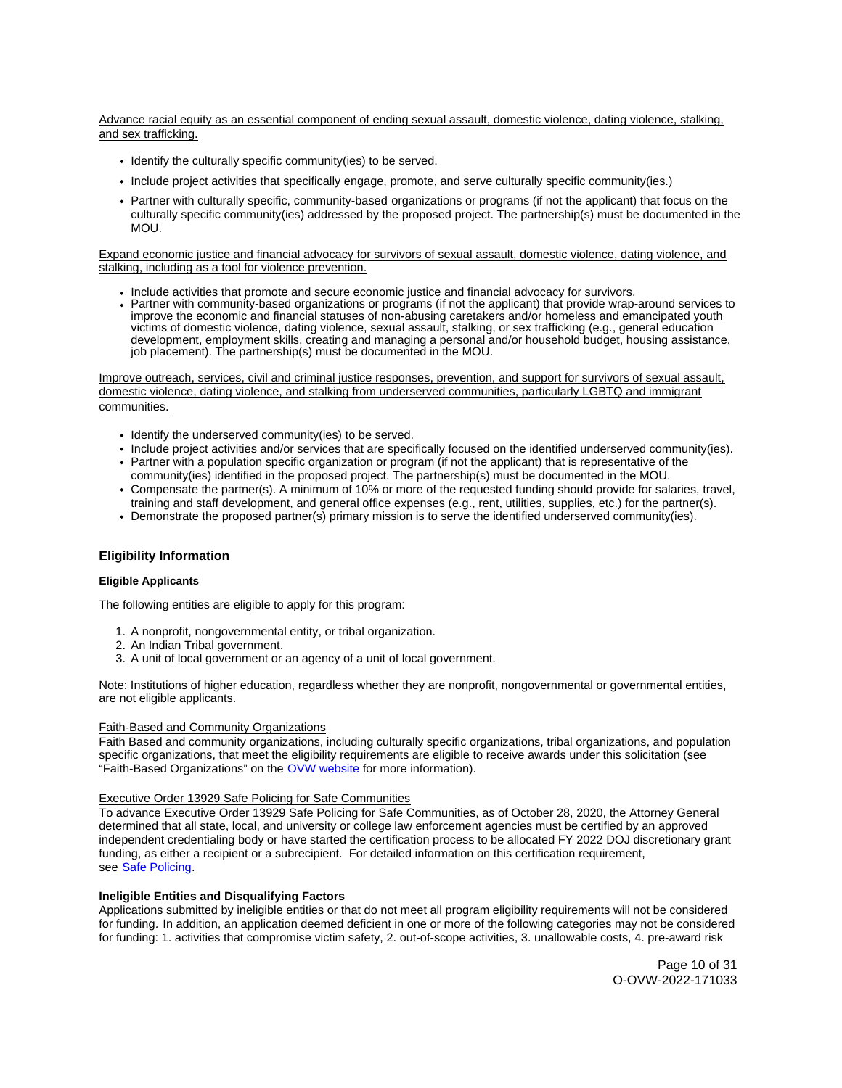Advance racial equity as an essential component of ending sexual assault, domestic violence, dating violence, stalking, and sex trafficking.

- Identify the culturally specific community(ies) to be served.
- Include project activities that specifically engage, promote, and serve culturally specific community(ies.)
- Partner with culturally specific, community-based organizations or programs (if not the applicant) that focus on the culturally specific community(ies) addressed by the proposed project. The partnership(s) must be documented in the MOU.

## Expand economic justice and financial advocacy for survivors of sexual assault, domestic violence, dating violence, and stalking, including as a tool for violence prevention.

- Include activities that promote and secure economic justice and financial advocacy for survivors.
- Partner with community-based organizations or programs (if not the applicant) that provide wrap-around services to improve the economic and financial statuses of non-abusing caretakers and/or homeless and emancipated youth victims of domestic violence, dating violence, sexual assault, stalking, or sex trafficking (e.g., general education development, employment skills, creating and managing a personal and/or household budget, housing assistance, job placement). The partnership(s) must be documented in the MOU.

Improve outreach, services, civil and criminal justice responses, prevention, and support for survivors of sexual assault, domestic violence, dating violence, and stalking from underserved communities, particularly LGBTQ and immigrant communities.

- Identify the underserved community(ies) to be served.
- Include project activities and/or services that are specifically focused on the identified underserved community(ies). Partner with a population specific organization or program (if not the applicant) that is representative of the
- community(ies) identified in the proposed project. The partnership(s) must be documented in the MOU.
- Compensate the partner(s). A minimum of 10% or more of the requested funding should provide for salaries, travel, training and staff development, and general office expenses (e.g., rent, utilities, supplies, etc.) for the partner(s).
- Demonstrate the proposed partner(s) primary mission is to serve the identified underserved community(ies).

## **Eligibility Information**

## **Eligible Applicants**

The following entities are eligible to apply for this program:

- 1. A nonprofit, nongovernmental entity, or tribal organization.
- 2. An Indian Tribal government.
- 3. A unit of local government or an agency of a unit of local government.

Note: Institutions of higher education, regardless whether they are nonprofit, nongovernmental or governmental entities, are not eligible applicants.

## Faith-Based and Community Organizations

Faith Based and community organizations, including culturally specific organizations, tribal organizations, and population specific organizations, that meet the eligibility requirements are eligible to receive awards under this solicitation (see "Faith-Based Organizations" on the [OVW website](https://www.justice.gov/ovw/resources-applicants#Resources) for more information).

# Executive Order 13929 Safe Policing for Safe Communities

To advance Executive Order 13929 Safe Policing for Safe Communities, as of October 28, 2020, the Attorney General determined that all state, local, and university or college law enforcement agencies must be certified by an approved independent credentialing body or have started the certification process to be allocated FY 2022 DOJ discretionary grant funding, as either a recipient or a subrecipient. For detailed information on this certification requirement, see [Safe Policing.](https://cops.usdoj.gov/SafePolicingEO)

### **Ineligible Entities and Disqualifying Factors**

Applications submitted by ineligible entities or that do not meet all program eligibility requirements will not be considered for funding. In addition, an application deemed deficient in one or more of the following categories may not be considered for funding: 1. activities that compromise victim safety, 2. out-of-scope activities, 3. unallowable costs, 4. pre-award risk

> Page 10 of 31 O-OVW-2022-171033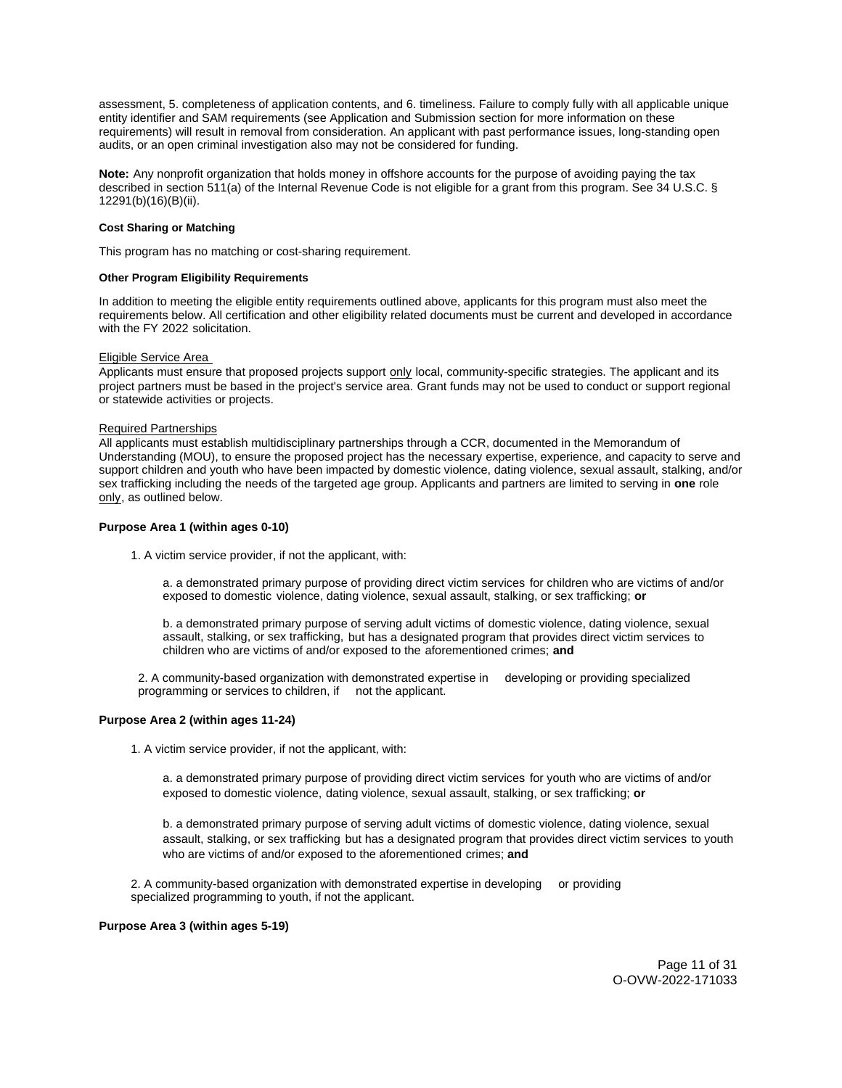assessment, 5. completeness of application contents, and 6. timeliness. Failure to comply fully with all applicable unique entity identifier and SAM requirements (see Application and Submission section for more information on these requirements) will result in removal from consideration. An applicant with past performance issues, long-standing open audits, or an open criminal investigation also may not be considered for funding.

**Note:** Any nonprofit organization that holds money in offshore accounts for the purpose of avoiding paying the tax described in section 511(a) of the Internal Revenue Code is not eligible for a grant from this program. See 34 U.S.C. § 12291(b)(16)(B)(ii).

#### **Cost Sharing or Matching**

This program has no matching or cost-sharing requirement.

#### **Other Program Eligibility Requirements**

In addition to meeting the eligible entity requirements outlined above, applicants for this program must also meet the requirements below. All certification and other eligibility related documents must be current and developed in accordance with the FY 2022 solicitation.

#### Eligible Service Area

Applicants must ensure that proposed projects support only local, community-specific strategies. The applicant and its project partners must be based in the project's service area. Grant funds may not be used to conduct or support regional or statewide activities or projects.

### Required Partnerships

All applicants must establish multidisciplinary partnerships through a CCR, documented in the Memorandum of Understanding (MOU), to ensure the proposed project has the necessary expertise, experience, and capacity to serve and support children and youth who have been impacted by domestic violence, dating violence, sexual assault, stalking, and/or sex trafficking including the needs of the targeted age group. Applicants and partners are limited to serving in **one** role only, as outlined below.

## **Purpose Area 1 (within ages 0-10)**

1. A victim service provider, if not the applicant, with:

a. a demonstrated primary purpose of providing direct victim services for children who are victims of and/or exposed to domestic violence, dating violence, sexual assault, stalking, or sex trafficking; **or** 

b. a demonstrated primary purpose of serving adult victims of domestic violence, dating violence, sexual assault, stalking, or sex trafficking, but has a designated program that provides direct victim services to children who are victims of and/or exposed to the aforementioned crimes; **and** 

2. A community-based organization with demonstrated expertise in developing or providing specialized programming or services to children, if not the applicant.

## **Purpose Area 2 (within ages 11-24)**

1. A victim service provider, if not the applicant, with:

a. a demonstrated primary purpose of providing direct victim services for youth who are victims of and/or exposed to domestic violence, dating violence, sexual assault, stalking, or sex trafficking; **or** 

b. a demonstrated primary purpose of serving adult victims of domestic violence, dating violence, sexual assault, stalking, or sex trafficking but has a designated program that provides direct victim services to youth who are victims of and/or exposed to the aforementioned crimes; **and** 

2. A community-based organization with demonstrated expertise in developing or providing specialized programming to youth, if not the applicant.

## **Purpose Area 3 (within ages 5-19)**

Page 11 of 31 O-OVW-2022-171033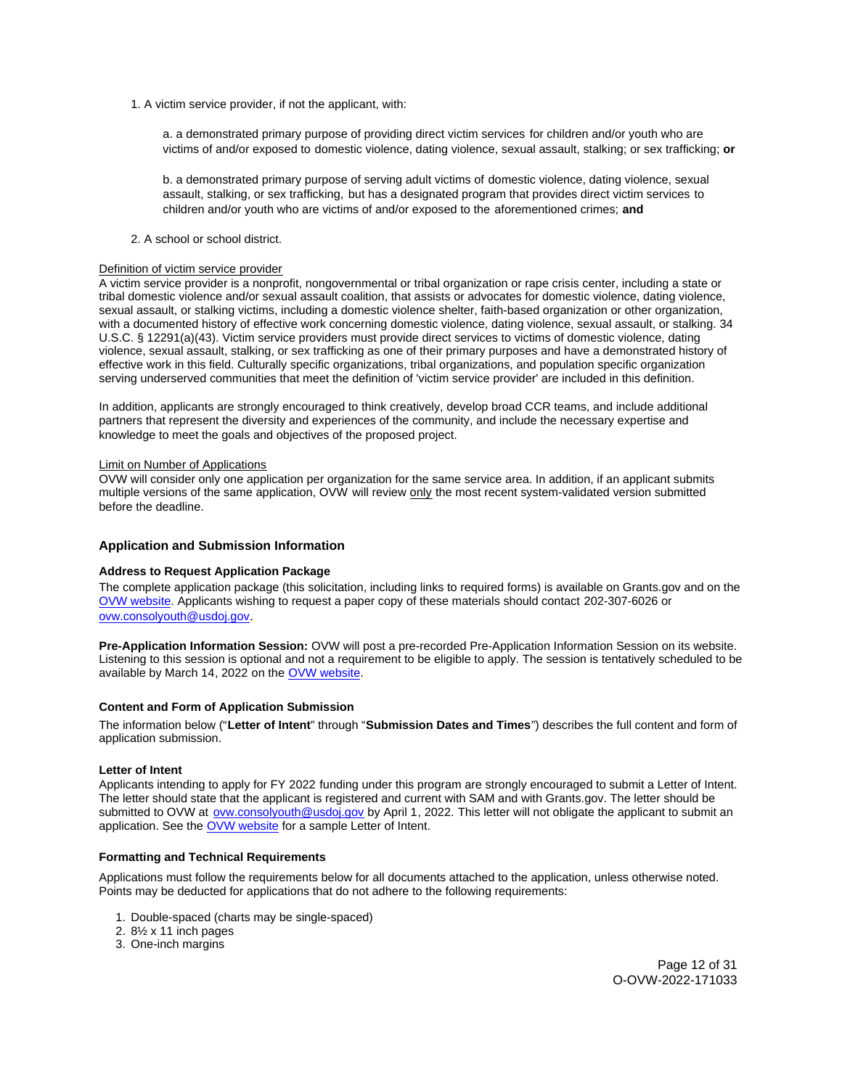1. A victim service provider, if not the applicant, with:

a. a demonstrated primary purpose of providing direct victim services for children and/or youth who are victims of and/or exposed to domestic violence, dating violence, sexual assault, stalking; or sex trafficking; **or** 

b. a demonstrated primary purpose of serving adult victims of domestic violence, dating violence, sexual assault, stalking, or sex trafficking, but has a designated program that provides direct victim services to children and/or youth who are victims of and/or exposed to the aforementioned crimes; **and** 

#### 2. A school or school district.

## Definition of victim service provider

A victim service provider is a nonprofit, nongovernmental or tribal organization or rape crisis center, including a state or tribal domestic violence and/or sexual assault coalition, that assists or advocates for domestic violence, dating violence, sexual assault, or stalking victims, including a domestic violence shelter, faith-based organization or other organization, with a documented history of effective work concerning domestic violence, dating violence, sexual assault, or stalking. 34 U.S.C. § 12291(a)(43). Victim service providers must provide direct services to victims of domestic violence, dating violence, sexual assault, stalking, or sex trafficking as one of their primary purposes and have a demonstrated history of effective work in this field. Culturally specific organizations, tribal organizations, and population specific organization serving underserved communities that meet the definition of 'victim service provider' are included in this definition.

In addition, applicants are strongly encouraged to think creatively, develop broad CCR teams, and include additional partners that represent the diversity and experiences of the community, and include the necessary expertise and knowledge to meet the goals and objectives of the proposed project.

#### Limit on Number of Applications

OVW will consider only one application per organization for the same service area. In addition, if an applicant submits multiple versions of the same application, OVW will review only the most recent system-validated version submitted before the deadline.

## **Application and Submission Information**

#### **Address to Request Application Package**

The complete application package (this solicitation, including links to required forms) is available on [Grants.gov](https://Grants.gov) and on the [OVW website.](https://www.justice.gov/ovw/how-apply) Applicants wishing to request a paper copy of these materials should contact 202-307-6026 or [ovw.consolyouth@usdoj.gov](mailto:ovw.consolyouth@usdoj.gov).

**Pre-Application Information Session:** OVW will post a pre-recorded Pre-Application Information Session on its website. Listening to this session is optional and not a requirement to be eligible to apply. The session is tentatively scheduled to be available by March 14, 2022 on the [OVW website.](https://www.justice.gov/ovw/resources-applicants#Program Specific)

## **Content and Form of Application Submission**

The information below ("**Letter of Intent**" through "**Submission Dates and Times**") describes the full content and form of application submission.

# **Letter of Intent**

Applicants intending to apply for FY 2022 funding under this program are strongly encouraged to submit a Letter of Intent. The letter should state that the applicant is registered and current with SAM and with [Grants.gov](https://Grants.gov). The letter should be submitted to OVW at [ovw.consolyouth@usdoj.gov](mailto:ovw.consolyouth@usdoj.gov) by April 1, 2022. This letter will not obligate the applicant to submit an application. See the [OVW website](https://www.justice.gov/ovw/resources-applicants) for a sample Letter of Intent.

## **Formatting and Technical Requirements**

Applications must follow the requirements below for all documents attached to the application, unless otherwise noted. Points may be deducted for applications that do not adhere to the following requirements:

- 1. Double-spaced (charts may be single-spaced)
- 2. 8½ x 11 inch pages
- 3. One-inch margins

Page 12 of 31 O-OVW-2022-171033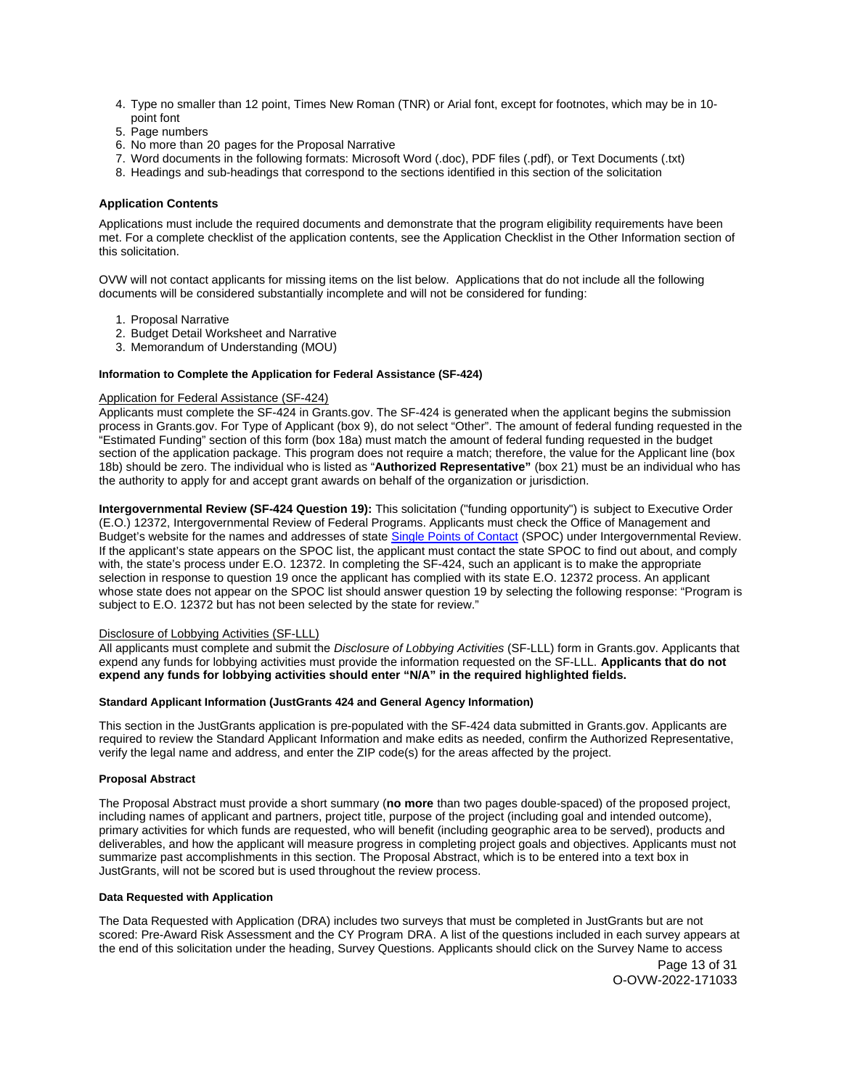- 4. Type no smaller than 12 point, Times New Roman (TNR) or Arial font, except for footnotes, which may be in 10 point font
- 5. Page numbers
- 6. No more than 20 pages for the Proposal Narrative
- 7. Word documents in the following formats: Microsoft Word (.doc), PDF files (.pdf), or Text Documents (.txt)
- 8. Headings and sub-headings that correspond to the sections identified in this section of the solicitation

## **Application Contents**

Applications must include the required documents and demonstrate that the program eligibility requirements have been met. For a complete checklist of the application contents, see the Application Checklist in the Other Information section of this solicitation.

OVW will not contact applicants for missing items on the list below. Applications that do not include all the following documents will be considered substantially incomplete and will not be considered for funding:

- 1. Proposal Narrative
- 2. Budget Detail Worksheet and Narrative
- 3. Memorandum of Understanding (MOU)

# **Information to Complete the Application for Federal Assistance (SF-424)**

## Application for Federal Assistance (SF-424)

Applicants must complete the SF-424 in [Grants.gov](https://Grants.gov). The SF-424 is generated when the applicant begins the submission process in [Grants.gov.](https://Grants.gov) For Type of Applicant (box 9), do not select "Other". The amount of federal funding requested in the "Estimated Funding" section of this form (box 18a) must match the amount of federal funding requested in the budget section of the application package. This program does not require a match; therefore, the value for the Applicant line (box 18b) should be zero. The individual who is listed as "**Authorized Representative"** (box 21) must be an individual who has the authority to apply for and accept grant awards on behalf of the organization or jurisdiction.

**Intergovernmental Review (SF-424 Question 19):** This solicitation ("funding opportunity") is subject to Executive Order (E.O.) 12372, Intergovernmental Review of Federal Programs. Applicants must check the Office of Management and Budget's website for the names and addresses of state [Single Points of Contact](https://www.whitehouse.gov/wp-content/uploads/2020/04/SPOC-4-13-20.pdf) (SPOC) under Intergovernmental Review. If the applicant's state appears on the SPOC list, the applicant must contact the state SPOC to find out about, and comply with, the state's process under E.O. 12372. In completing the SF-424, such an applicant is to make the appropriate selection in response to question 19 once the applicant has complied with its state E.O. 12372 process. An applicant whose state does not appear on the SPOC list should answer question 19 by selecting the following response: "Program is subject to E.O. 12372 but has not been selected by the state for review."

#### Disclosure of Lobbying Activities (SF-LLL)

All applicants must complete and submit the Disclosure of Lobbying Activities (SF-LLL) form in [Grants.gov.](https://Grants.gov) Applicants that expend any funds for lobbying activities must provide the information requested on the SF-LLL. **Applicants that do not expend any funds for lobbying activities should enter "N/A" in the required highlighted fields.** 

#### **Standard Applicant Information (JustGrants 424 and General Agency Information)**

This section in the JustGrants application is pre-populated with the SF-424 data submitted in [Grants.gov](https://Grants.gov). Applicants are required to review the Standard Applicant Information and make edits as needed, confirm the Authorized Representative, verify the legal name and address, and enter the ZIP code(s) for the areas affected by the project.

#### **Proposal Abstract**

The Proposal Abstract must provide a short summary (**no more** than two pages double-spaced) of the proposed project, including names of applicant and partners, project title, purpose of the project (including goal and intended outcome), primary activities for which funds are requested, who will benefit (including geographic area to be served), products and deliverables, and how the applicant will measure progress in completing project goals and objectives. Applicants must not summarize past accomplishments in this section. The Proposal Abstract, which is to be entered into a text box in JustGrants, will not be scored but is used throughout the review process.

### **Data Requested with Application**

The Data Requested with Application (DRA) includes two surveys that must be completed in JustGrants but are not scored: Pre-Award Risk Assessment and the CY Program DRA. A list of the questions included in each survey appears at the end of this solicitation under the heading, Survey Questions. Applicants should click on the Survey Name to access

> Page 13 of 31 O-OVW-2022-171033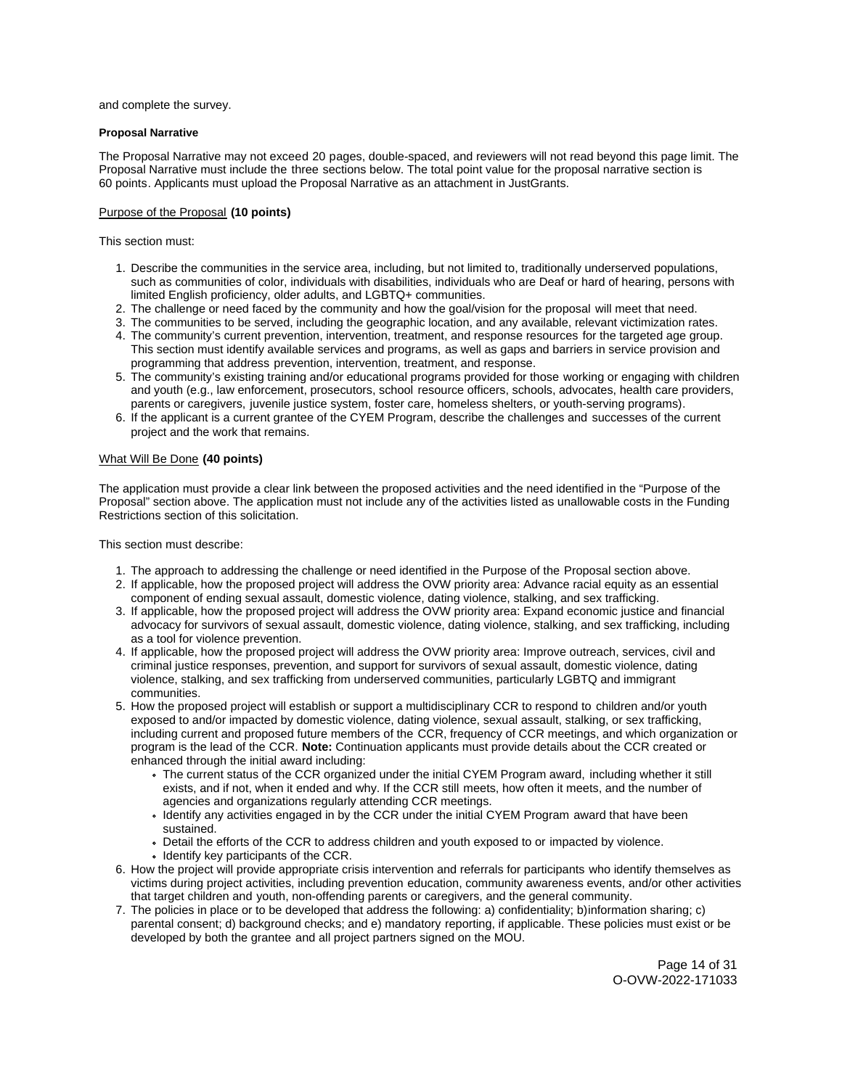and complete the survey.

## **Proposal Narrative**

The Proposal Narrative may not exceed 20 pages, double-spaced, and reviewers will not read beyond this page limit. The Proposal Narrative must include the three sections below. The total point value for the proposal narrative section is 60 points. Applicants must upload the Proposal Narrative as an attachment in JustGrants.

# Purpose of the Proposal **(10 points)**

This section must:

- 1. Describe the communities in the service area, including, but not limited to, traditionally underserved populations, such as communities of color, individuals with disabilities, individuals who are Deaf or hard of hearing, persons with limited English proficiency, older adults, and LGBTQ+ communities.
- 2. The challenge or need faced by the community and how the goal/vision for the proposal will meet that need.
- 3. The communities to be served, including the geographic location, and any available, relevant victimization rates.
- 4. The community's current prevention, intervention, treatment, and response resources for the targeted age group. This section must identify available services and programs, as well as gaps and barriers in service provision and programming that address prevention, intervention, treatment, and response.
- 5. The community's existing training and/or educational programs provided for those working or engaging with children and youth (e.g., law enforcement, prosecutors, school resource officers, schools, advocates, health care providers, parents or caregivers, juvenile justice system, foster care, homeless shelters, or youth-serving programs).
- 6. If the applicant is a current grantee of the CYEM Program, describe the challenges and successes of the current project and the work that remains.

## What Will Be Done **(40 points)**

The application must provide a clear link between the proposed activities and the need identified in the "Purpose of the Proposal" section above. The application must not include any of the activities listed as unallowable costs in the Funding Restrictions section of this solicitation.

This section must describe:

- 1. The approach to addressing the challenge or need identified in the Purpose of the Proposal section above.
- 2. If applicable, how the proposed project will address the OVW priority area: Advance racial equity as an essential component of ending sexual assault, domestic violence, dating violence, stalking, and sex trafficking.
- 3. If applicable, how the proposed project will address the OVW priority area: Expand economic justice and financial advocacy for survivors of sexual assault, domestic violence, dating violence, stalking, and sex trafficking, including as a tool for violence prevention.
- 4. If applicable, how the proposed project will address the OVW priority area: Improve outreach, services, civil and criminal justice responses, prevention, and support for survivors of sexual assault, domestic violence, dating violence, stalking, and sex trafficking from underserved communities, particularly LGBTQ and immigrant communities.
- 5. How the proposed project will establish or support a multidisciplinary CCR to respond to children and/or youth exposed to and/or impacted by domestic violence, dating violence, sexual assault, stalking, or sex trafficking, including current and proposed future members of the CCR, frequency of CCR meetings, and which organization or program is the lead of the CCR. **Note:** Continuation applicants must provide details about the CCR created or enhanced through the initial award including:
	- The current status of the CCR organized under the initial CYEM Program award, including whether it still exists, and if not, when it ended and why. If the CCR still meets, how often it meets, and the number of agencies and organizations regularly attending CCR meetings.
	- Identify any activities engaged in by the CCR under the initial CYEM Program award that have been sustained.
	- Detail the efforts of the CCR to address children and youth exposed to or impacted by violence.
	- Identify key participants of the CCR.
- 6. How the project will provide appropriate crisis intervention and referrals for participants who identify themselves as victims during project activities, including prevention education, community awareness events, and/or other activities that target children and youth, non-offending parents or caregivers, and the general community.
- 7. The policies in place or to be developed that address the following: a) confidentiality; b)information sharing; c) parental consent; d) background checks; and e) mandatory reporting, if applicable. These policies must exist or be developed by both the grantee and all project partners signed on the MOU.

Page 14 of 31 O-OVW-2022-171033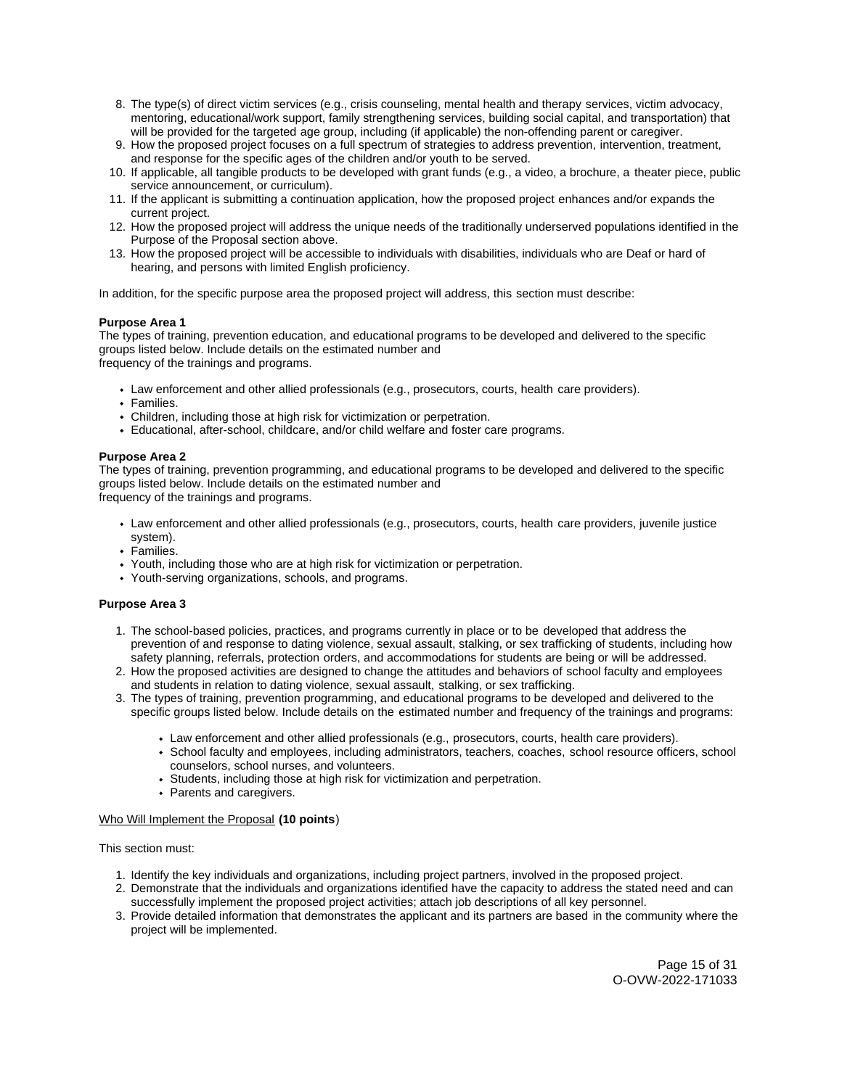- 8. The type(s) of direct victim services (e.g., crisis counseling, mental health and therapy services, victim advocacy, mentoring, educational/work support, family strengthening services, building social capital, and transportation) that will be provided for the targeted age group, including (if applicable) the non-offending parent or caregiver.
- 9. How the proposed project focuses on a full spectrum of strategies to address prevention, intervention, treatment, and response for the specific ages of the children and/or youth to be served.
- 10. If applicable, all tangible products to be developed with grant funds (e.g., a video, a brochure, a theater piece, public service announcement, or curriculum).
- 11. If the applicant is submitting a continuation application, how the proposed project enhances and/or expands the current project.
- 12. How the proposed project will address the unique needs of the traditionally underserved populations identified in the Purpose of the Proposal section above.
- 13. How the proposed project will be accessible to individuals with disabilities, individuals who are Deaf or hard of hearing, and persons with limited English proficiency.

In addition, for the specific purpose area the proposed project will address, this section must describe:

## **Purpose Area 1**

The types of training, prevention education, and educational programs to be developed and delivered to the specific groups listed below. Include details on the estimated number and frequency of the trainings and programs.

- Law enforcement and other allied professionals (e.g., prosecutors, courts, health care providers).
- Families.
- Children, including those at high risk for victimization or perpetration.
- Educational, after-school, childcare, and/or child welfare and foster care programs.

#### **Purpose Area 2**

The types of training, prevention programming, and educational programs to be developed and delivered to the specific groups listed below. Include details on the estimated number and frequency of the trainings and programs.

- Law enforcement and other allied professionals (e.g., prosecutors, courts, health care providers, juvenile justice system).
- Families.
- Youth, including those who are at high risk for victimization or perpetration.
- Youth-serving organizations, schools, and programs.

## **Purpose Area 3**

- 1. The school-based policies, practices, and programs currently in place or to be developed that address the prevention of and response to dating violence, sexual assault, stalking, or sex trafficking of students, including how safety planning, referrals, protection orders, and accommodations for students are being or will be addressed.
- 2. How the proposed activities are designed to change the attitudes and behaviors of school faculty and employees and students in relation to dating violence, sexual assault, stalking, or sex trafficking.
- 3. The types of training, prevention programming, and educational programs to be developed and delivered to the specific groups listed below. Include details on the estimated number and frequency of the trainings and programs:
	- Law enforcement and other allied professionals (e.g., prosecutors, courts, health care providers).
	- School faculty and employees, including administrators, teachers, coaches, school resource officers, school counselors, school nurses, and volunteers.
	- Students, including those at high risk for victimization and perpetration.
	- Parents and caregivers.

## Who Will Implement the Proposal **(10 points**)

## This section must:

- 1. Identify the key individuals and organizations, including project partners, involved in the proposed project.
- 2. Demonstrate that the individuals and organizations identified have the capacity to address the stated need and can successfully implement the proposed project activities; attach job descriptions of all key personnel.
- 3. Provide detailed information that demonstrates the applicant and its partners are based in the community where the project will be implemented.

Page 15 of 31 O-OVW-2022-171033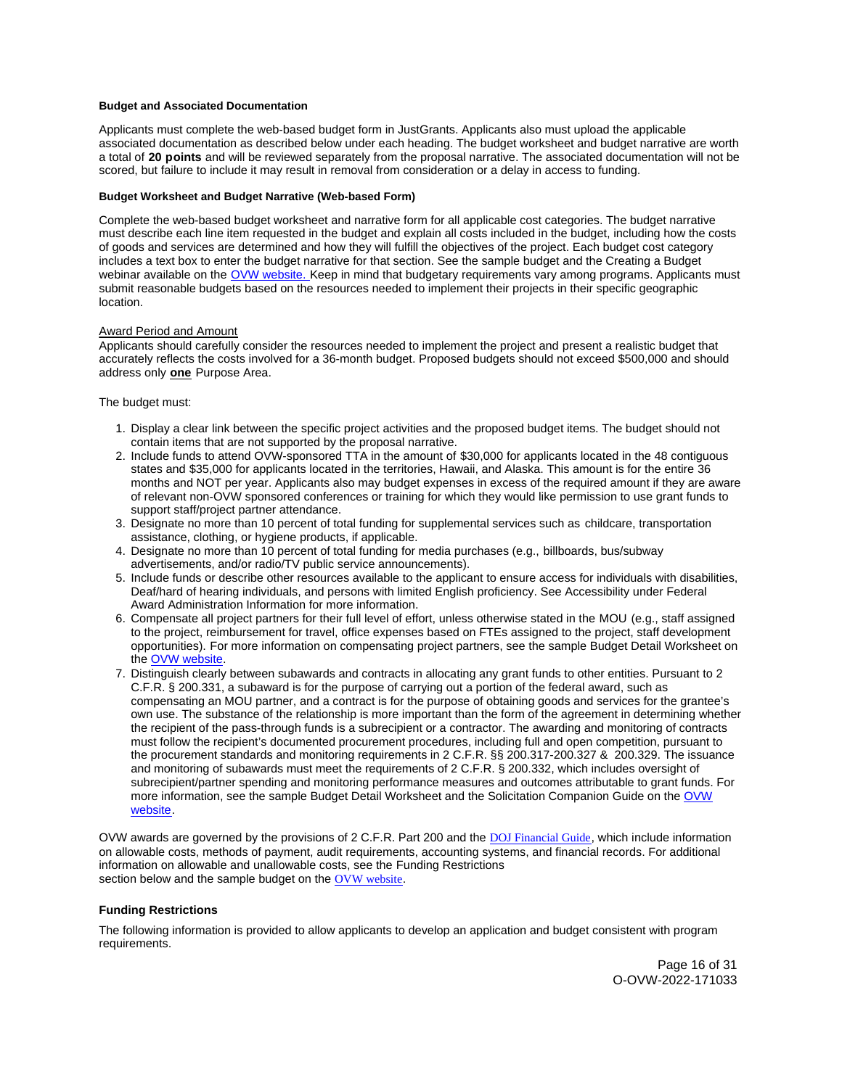#### **Budget and Associated Documentation**

Applicants must complete the web-based budget form in JustGrants. Applicants also must upload the applicable associated documentation as described below under each heading. The budget worksheet and budget narrative are worth a total of **20 points** and will be reviewed separately from the proposal narrative. The associated documentation will not be scored, but failure to include it may result in removal from consideration or a delay in access to funding.

## **Budget Worksheet and Budget Narrative (Web-based Form)**

Complete the web-based budget worksheet and narrative form for all applicable cost categories. The budget narrative must describe each line item requested in the budget and explain all costs included in the budget, including how the costs of goods and services are determined and how they will fulfill the objectives of the project. Each budget cost category includes a text box to enter the budget narrative for that section. See the sample budget and the Creating a Budget webinar available on the [OVW website.](https://www.justice.gov/ovw/resources-applicants) Keep in mind that budgetary requirements vary among programs. Applicants must submit reasonable budgets based on the resources needed to implement their projects in their specific geographic location.

## Award Period and Amount

Applicants should carefully consider the resources needed to implement the project and present a realistic budget that accurately reflects the costs involved for a 36-month budget. Proposed budgets should not exceed \$500,000 and should address only **one** Purpose Area.

## The budget must:

- 1. Display a clear link between the specific project activities and the proposed budget items. The budget should not contain items that are not supported by the proposal narrative.
- 2. Include funds to attend OVW-sponsored TTA in the amount of \$30,000 for applicants located in the 48 contiguous states and \$35,000 for applicants located in the territories, Hawaii, and Alaska. This amount is for the entire 36 months and NOT per year. Applicants also may budget expenses in excess of the required amount if they are aware of relevant non-OVW sponsored conferences or training for which they would like permission to use grant funds to support staff/project partner attendance.
- 3. Designate no more than 10 percent of total funding for supplemental services such as childcare, transportation assistance, clothing, or hygiene products, if applicable.
- 4. Designate no more than 10 percent of total funding for media purchases (e.g., billboards, bus/subway advertisements, and/or radio/TV public service announcements).
- 5. Include funds or describe other resources available to the applicant to ensure access for individuals with disabilities, Deaf/hard of hearing individuals, and persons with limited English proficiency. See Accessibility under Federal Award Administration Information for more information.
- 6. Compensate all project partners for their full level of effort, unless otherwise stated in the MOU (e.g., staff assigned to the project, reimbursement for travel, office expenses based on FTEs assigned to the project, staff development opportunities). For more information on compensating project partners, see the sample Budget Detail Worksheet on the [OVW website.](https://www.justice.gov/ovw/resources-applicants)
- 7. Distinguish clearly between subawards and contracts in allocating any grant funds to other entities. Pursuant to 2 C.F.R. § 200.331, a subaward is for the purpose of carrying out a portion of the federal award, such as compensating an MOU partner, and a contract is for the purpose of obtaining goods and services for the grantee's own use. The substance of the relationship is more important than the form of the agreement in determining whether the recipient of the pass-through funds is a subrecipient or a contractor. The awarding and monitoring of contracts must follow the recipient's documented procurement procedures, including full and open competition, pursuant to the procurement standards and monitoring requirements in 2 C.F.R. §§ 200.317-200.327 & 200.329. The issuance and monitoring of subawards must meet the requirements of 2 C.F.R. § 200.332, which includes oversight of subrecipient/partner spending and monitoring performance measures and outcomes attributable to grant funds. For more information, see the sample Budget Detail Worksheet and the Solicitation Companion Guide on the [OVW](https://www.justice.gov/ovw/resources-applicants)  [website.](https://www.justice.gov/ovw/resources-applicants)

OVW awards are governed by the provisions of 2 C.F.R. Part 200 and the [DOJ Financial Guide](https://www.justice.gov/ovw/file/1030311/download), which include information on allowable costs, methods of payment, audit requirements, accounting systems, and financial records. For additional information on allowable and unallowable costs, see the Funding Restrictions section below and the sample budget on the [OVW website](https://www.justice.gov/ovw/resources-applicants).

#### **Funding Restrictions**

The following information is provided to allow applicants to develop an application and budget consistent with program requirements.

> Page 16 of 31 O-OVW-2022-171033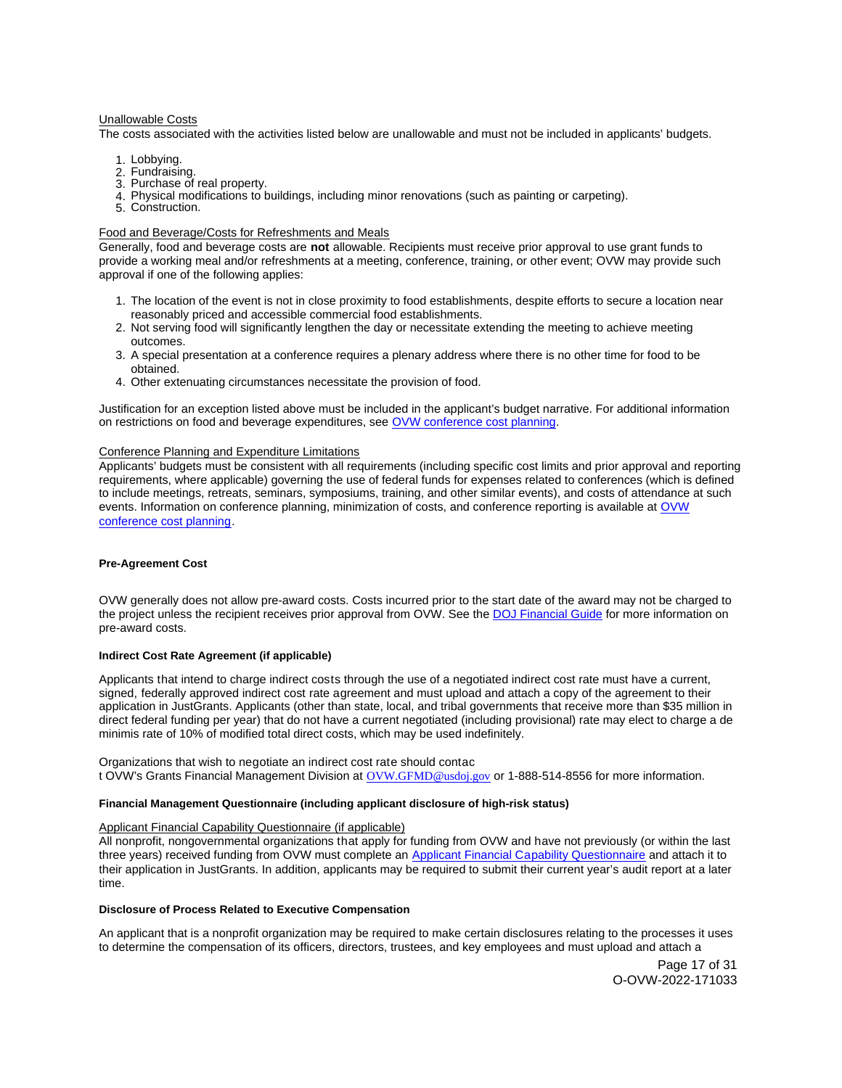#### Unallowable Costs

The costs associated with the activities listed below are unallowable and must not be included in applicants' budgets.

- 1. Lobbying.
- 2. Fundraising.
- 3. Purchase of real property.
- 4. Physical modifications to buildings, including minor renovations (such as painting or carpeting).
- 5. Construction.

## Food and Beverage/Costs for Refreshments and Meals

Generally, food and beverage costs are **not** allowable. Recipients must receive prior approval to use grant funds to provide a working meal and/or refreshments at a meeting, conference, training, or other event; OVW may provide such approval if one of the following applies:

- 1. The location of the event is not in close proximity to food establishments, despite efforts to secure a location near reasonably priced and accessible commercial food establishments.
- 2. Not serving food will significantly lengthen the day or necessitate extending the meeting to achieve meeting outcomes.
- 3. A special presentation at a conference requires a plenary address where there is no other time for food to be obtained.
- 4. Other extenuating circumstances necessitate the provision of food.

Justification for an exception listed above must be included in the applicant's budget narrative. For additional information on restrictions on food and beverage expenditures, see [OVW conference cost planning.](https://www.justice.gov/ovw/conference-planning)

## Conference Planning and Expenditure Limitations

Applicants' budgets must be consistent with all requirements (including specific cost limits and prior approval and reporting requirements, where applicable) governing the use of federal funds for expenses related to conferences (which is defined to include meetings, retreats, seminars, symposiums, training, and other similar events), and costs of attendance at such events. Information on conference planning, minimization of costs, and conference reporting is available at OVW [conference cost planning.](https://www.justice.gov/ovw/conference-planning)

## **Pre-Agreement Cost**

OVW generally does not allow pre-award costs. Costs incurred prior to the start date of the award may not be charged to the project unless the recipient receives prior approval from OVW. See the [DOJ Financial Guide](https://www.justice.gov/ovw/file/1030311/download) for more information on pre-award costs.

#### **Indirect Cost Rate Agreement (if applicable)**

Applicants that intend to charge indirect costs through the use of a negotiated indirect cost rate must have a current, signed, federally approved indirect cost rate agreement and must upload and attach a copy of the agreement to their application in JustGrants. Applicants (other than state, local, and tribal governments that receive more than \$35 million in direct federal funding per year) that do not have a current negotiated (including provisional) rate may elect to charge a de minimis rate of 10% of modified total direct costs, which may be used indefinitely.

Organizations that wish to negotiate an indirect cost rate should contac t OVW's Grants Financial Management Division at [OVW.GFMD@usdoj.gov](mailto:OVW.GFMD@usdoj.gov) or 1-888-514-8556 for more information.

#### **Financial Management Questionnaire (including applicant disclosure of high-risk status)**

# Applicant Financial Capability Questionnaire (if applicable)

All nonprofit, nongovernmental organizations that apply for funding from OVW and have not previously (or within the last three years) received funding from OVW must complete an [Applicant Financial Capability Questionnaire](https://www.justice.gov/ovw/file/866126/download) and attach it to their application in JustGrants. In addition, applicants may be required to submit their current year's audit report at a later time.

#### **Disclosure of Process Related to Executive Compensation**

An applicant that is a nonprofit organization may be required to make certain disclosures relating to the processes it uses to determine the compensation of its officers, directors, trustees, and key employees and must upload and attach a

> Page 17 of 31 O-OVW-2022-171033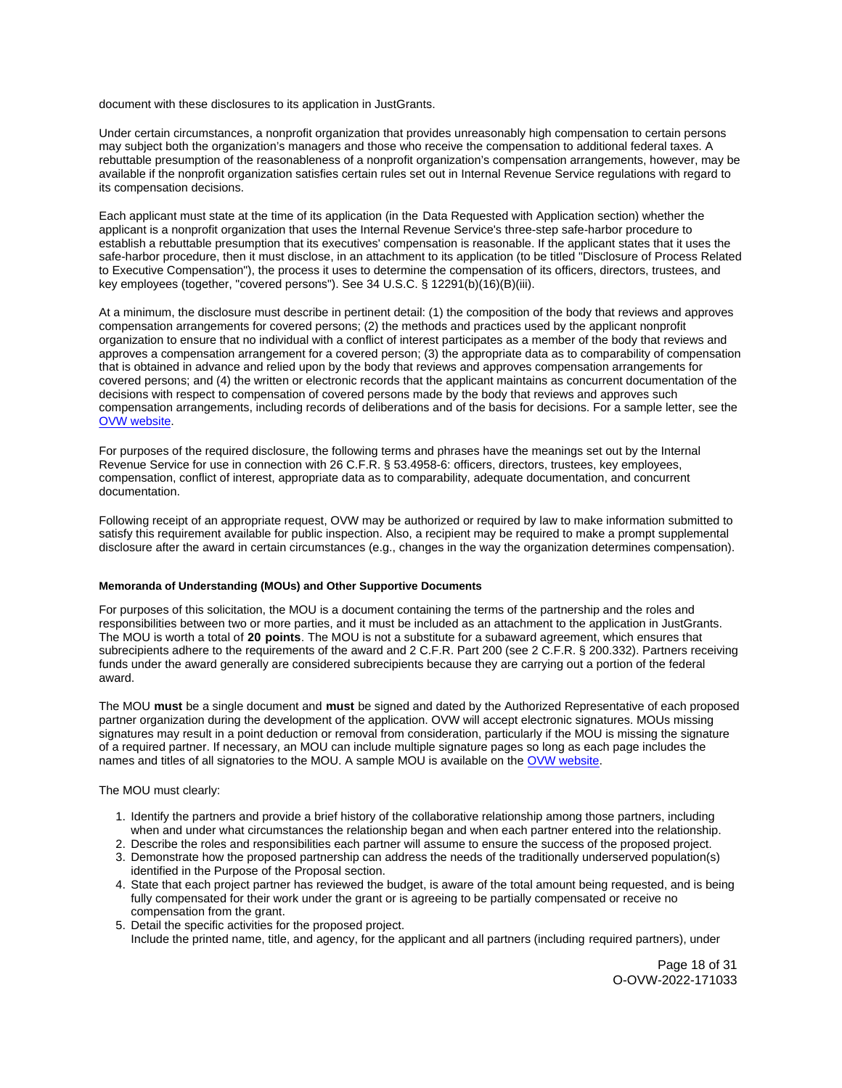document with these disclosures to its application in JustGrants.

Under certain circumstances, a nonprofit organization that provides unreasonably high compensation to certain persons may subject both the organization's managers and those who receive the compensation to additional federal taxes. A rebuttable presumption of the reasonableness of a nonprofit organization's compensation arrangements, however, may be available if the nonprofit organization satisfies certain rules set out in Internal Revenue Service regulations with regard to its compensation decisions.

Each applicant must state at the time of its application (in the Data Requested with Application section) whether the applicant is a nonprofit organization that uses the Internal Revenue Service's three-step safe-harbor procedure to establish a rebuttable presumption that its executives' compensation is reasonable. If the applicant states that it uses the safe-harbor procedure, then it must disclose, in an attachment to its application (to be titled "Disclosure of Process Related to Executive Compensation"), the process it uses to determine the compensation of its officers, directors, trustees, and key employees (together, "covered persons"). See 34 U.S.C. § 12291(b)(16)(B)(iii).

At a minimum, the disclosure must describe in pertinent detail: (1) the composition of the body that reviews and approves compensation arrangements for covered persons; (2) the methods and practices used by the applicant nonprofit organization to ensure that no individual with a conflict of interest participates as a member of the body that reviews and approves a compensation arrangement for a covered person; (3) the appropriate data as to comparability of compensation that is obtained in advance and relied upon by the body that reviews and approves compensation arrangements for covered persons; and (4) the written or electronic records that the applicant maintains as concurrent documentation of the decisions with respect to compensation of covered persons made by the body that reviews and approves such compensation arrangements, including records of deliberations and of the basis for decisions. For a sample letter, see the [OVW website.](https://www.justice.gov/ovw/resources-applicants)

For purposes of the required disclosure, the following terms and phrases have the meanings set out by the Internal Revenue Service for use in connection with 26 C.F.R. § 53.4958-6: officers, directors, trustees, key employees, compensation, conflict of interest, appropriate data as to comparability, adequate documentation, and concurrent documentation.

Following receipt of an appropriate request, OVW may be authorized or required by law to make information submitted to satisfy this requirement available for public inspection. Also, a recipient may be required to make a prompt supplemental disclosure after the award in certain circumstances (e.g., changes in the way the organization determines compensation).

#### **Memoranda of Understanding (MOUs) and Other Supportive Documents**

For purposes of this solicitation, the MOU is a document containing the terms of the partnership and the roles and responsibilities between two or more parties, and it must be included as an attachment to the application in JustGrants. The MOU is worth a total of **20 points**. The MOU is not a substitute for a subaward agreement, which ensures that subrecipients adhere to the requirements of the award and 2 C.F.R. Part 200 (see 2 C.F.R. § 200.332). Partners receiving funds under the award generally are considered subrecipients because they are carrying out a portion of the federal award.

The MOU **must** be a single document and **must** be signed and dated by the Authorized Representative of each proposed partner organization during the development of the application. OVW will accept electronic signatures. MOUs missing signatures may result in a point deduction or removal from consideration, particularly if the MOU is missing the signature of a required partner. If necessary, an MOU can include multiple signature pages so long as each page includes the names and titles of all signatories to the MOU. A sample MOU is available on the [OVW website.](https://www.justice.gov/ovw/resources-applicants)

The MOU must clearly:

- 1. Identify the partners and provide a brief history of the collaborative relationship among those partners, including when and under what circumstances the relationship began and when each partner entered into the relationship.
- 2. Describe the roles and responsibilities each partner will assume to ensure the success of the proposed project.
- 3. Demonstrate how the proposed partnership can address the needs of the traditionally underserved population(s) identified in the Purpose of the Proposal section.
- 4. State that each project partner has reviewed the budget, is aware of the total amount being requested, and is being fully compensated for their work under the grant or is agreeing to be partially compensated or receive no compensation from the grant.
- 5. Detail the specific activities for the proposed project. Include the printed name, title, and agency, for the applicant and all partners (including required partners), under

Page 18 of 31 O-OVW-2022-171033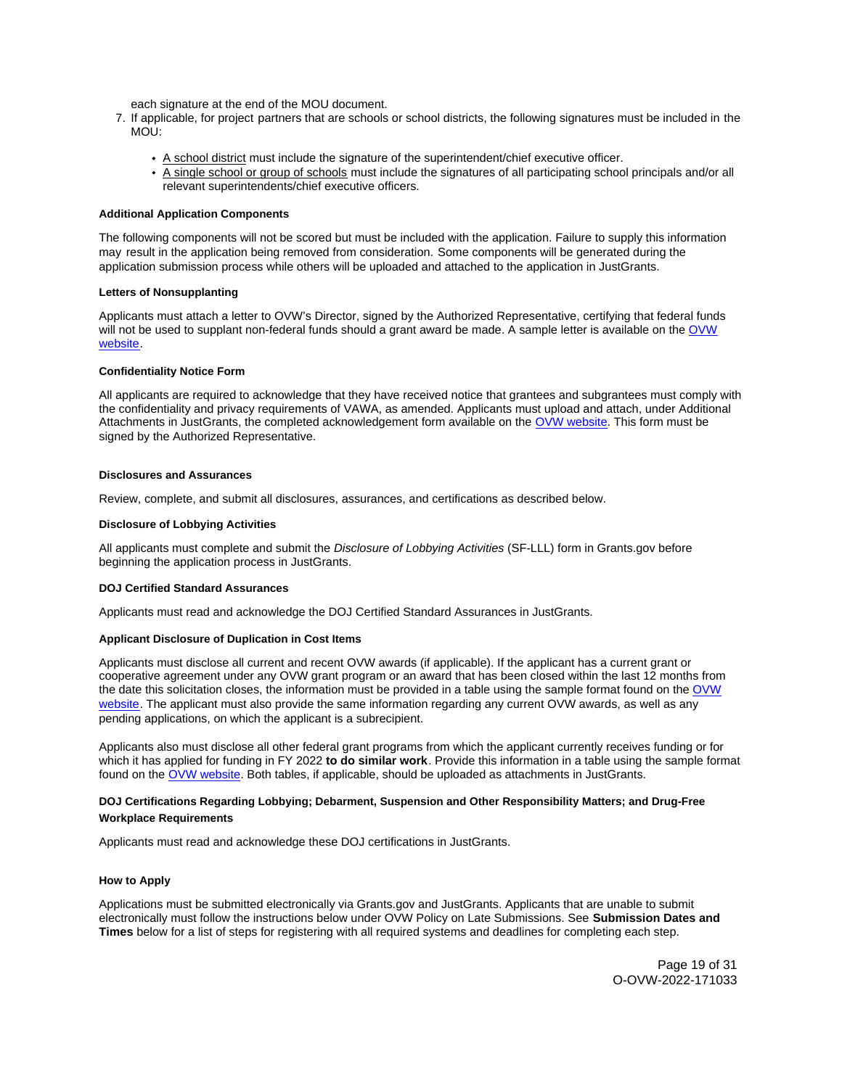each signature at the end of the MOU document.

- 7. If applicable, for project partners that are schools or school districts, the following signatures must be included in the MOU:
	- A school district must include the signature of the superintendent/chief executive officer.
	- A single school or group of schools must include the signatures of all participating school principals and/or all relevant superintendents/chief executive officers.

## **Additional Application Components**

The following components will not be scored but must be included with the application. Failure to supply this information may result in the application being removed from consideration. Some components will be generated during the application submission process while others will be uploaded and attached to the application in JustGrants.

#### **Letters of Nonsupplanting**

Applicants must attach a letter to OVW's Director, signed by the Authorized Representative, certifying that federal funds will not be used to supplant non-federal funds should a grant award be made. A sample letter is available on the OVW [website.](https://www.justice.gov/ovw/resources-applicants)

## **Confidentiality Notice Form**

All applicants are required to acknowledge that they have received notice that grantees and subgrantees must comply with the confidentiality and privacy requirements of VAWA, as amended. Applicants must upload and attach, under Additional Attachments in JustGrants, the completed acknowledgement form available on the [OVW website.](http://www.justice.gov/sites/default/files/ovw/pages/attachments/2015/01/20/confidentiality_acknowledgement_form_42015.pdf) This form must be signed by the Authorized Representative.

## **Disclosures and Assurances**

Review, complete, and submit all disclosures, assurances, and certifications as described below.

#### **Disclosure of Lobbying Activities**

All applicants must complete and submit the Disclosure of Lobbying Activities (SF-LLL) form in [Grants.gov](https://Grants.gov) before beginning the application process in JustGrants.

#### **DOJ Certified Standard Assurances**

Applicants must read and acknowledge the DOJ Certified Standard Assurances in JustGrants.

# **Applicant Disclosure of Duplication in Cost Items**

Applicants must disclose all current and recent OVW awards (if applicable). If the applicant has a current grant or cooperative agreement under any OVW grant program or an award that has been closed within the last 12 months from the date this solicitation closes, the information must be provided in a table using the sample format found on the [OVW](https://www.justice.gov/ovw/resources-applicants)  [website.](https://www.justice.gov/ovw/resources-applicants) The applicant must also provide the same information regarding any current OVW awards, as well as any pending applications, on which the applicant is a subrecipient.

Applicants also must disclose all other federal grant programs from which the applicant currently receives funding or for which it has applied for funding in FY 2022 **to do similar work**. Provide this information in a table using the sample format found on the [OVW website.](https://www.justice.gov/ovw/resources-applicants) Both tables, if applicable, should be uploaded as attachments in JustGrants.

# **DOJ Certifications Regarding Lobbying; Debarment, Suspension and Other Responsibility Matters; and Drug-Free Workplace Requirements**

Applicants must read and acknowledge these DOJ certifications in JustGrants.

## **How to Apply**

Applications must be submitted electronically via [Grants.gov](https://Grants.gov) and JustGrants. Applicants that are unable to submit electronically must follow the instructions below under OVW Policy on Late Submissions. See **Submission Dates and Times** below for a list of steps for registering with all required systems and deadlines for completing each step.

> Page 19 of 31 O-OVW-2022-171033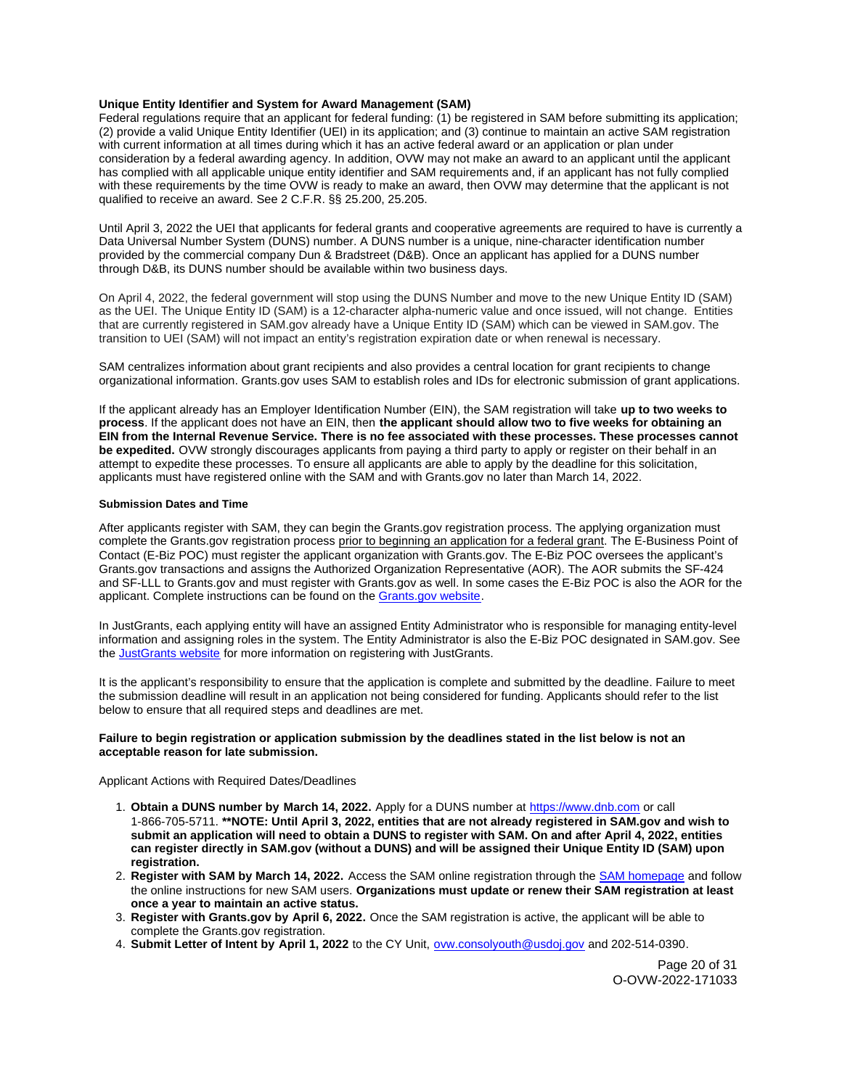## **Unique Entity Identifier and System for Award Management (SAM)**

Federal regulations require that an applicant for federal funding: (1) be registered in SAM before submitting its application; (2) provide a valid Unique Entity Identifier (UEI) in its application; and (3) continue to maintain an active SAM registration with current information at all times during which it has an active federal award or an application or plan under consideration by a federal awarding agency. In addition, OVW may not make an award to an applicant until the applicant has complied with all applicable unique entity identifier and SAM requirements and, if an applicant has not fully complied with these requirements by the time OVW is ready to make an award, then OVW may determine that the applicant is not qualified to receive an award. See 2 C.F.R. §§ 25.200, 25.205.

Until April 3, 2022 the UEI that applicants for federal grants and cooperative agreements are required to have is currently a Data Universal Number System (DUNS) number. A DUNS number is a unique, nine-character identification number provided by the commercial company Dun & Bradstreet (D&B). Once an applicant has applied for a DUNS number through D&B, its DUNS number should be available within two business days.

On April 4, 2022, the federal government will stop using the DUNS Number and move to the new Unique Entity ID (SAM) as the UEI. The Unique Entity ID (SAM) is a 12-character alpha-numeric value and once issued, will not change. Entities that are currently registered in SAM.gov already have a Unique Entity ID (SAM) which can be viewed in SAM.gov. The transition to UEI (SAM) will not impact an entity's registration expiration date or when renewal is necessary.

SAM centralizes information about grant recipients and also provides a central location for grant recipients to change organizational information. [Grants.gov](https://Grants.gov) uses SAM to establish roles and IDs for electronic submission of grant applications.

If the applicant already has an Employer Identification Number (EIN), the SAM registration will take **up to two weeks to process**. If the applicant does not have an EIN, then **the applicant should allow two to five weeks for obtaining an EIN from the Internal Revenue Service. There is no fee associated with these processes. These processes cannot be expedited.** OVW strongly discourages applicants from paying a third party to apply or register on their behalf in an attempt to expedite these processes. To ensure all applicants are able to apply by the deadline for this solicitation, applicants must have registered online with the SAM and with [Grants.gov](https://Grants.gov) no later than March 14, 2022.

#### **Submission Dates and Time**

After applicants register with SAM, they can begin the [Grants.gov](https://Grants.gov) registration process. The applying organization must complete the [Grants.gov](https://Grants.gov) registration process prior to beginning an application for a federal grant. The E-Business Point of Contact (E-Biz POC) must register the applicant organization with [Grants.gov](https://Grants.gov). The E-Biz POC oversees the applicant's [Grants.gov](https://Grants.gov) transactions and assigns the Authorized Organization Representative (AOR). The AOR submits the SF-424 and SF-LLL to [Grants.gov](https://Grants.gov) and must register with [Grants.gov](https://Grants.gov) as well. In some cases the E-Biz POC is also the AOR for the applicant. Complete instructions can be found on the [Grants.gov website.](https://www.grants.gov/web/grants/applicants/registration.html)

In JustGrants, each applying entity will have an assigned Entity Administrator who is responsible for managing entity-level information and assigning roles in the system. The Entity Administrator is also the E-Biz POC designated in SAM.gov. See the [JustGrants website](https://justicegrants.usdoj.gov/) for more information on registering with JustGrants.

It is the applicant's responsibility to ensure that the application is complete and submitted by the deadline. Failure to meet the submission deadline will result in an application not being considered for funding. Applicants should refer to the list below to ensure that all required steps and deadlines are met.

## **Failure to begin registration or application submission by the deadlines stated in the list below is not an acceptable reason for late submission.**

#### Applicant Actions with Required Dates/Deadlines

- 1. **Obtain a DUNS number by March 14, 2022.** Apply for a DUNS number at<https://www.dnb.com>or call 1-866-705-5711. **\*\*NOTE: Until April 3, 2022, entities that are not already registered in SAM.gov and wish to submit an application will need to obtain a DUNS to register with SAM. On and after April 4, 2022, entities can register directly in SAM.gov (without a DUNS) and will be assigned their Unique Entity ID (SAM) upon registration.**
- 2. **Register with SAM by March 14, 2022.** Access the SAM online registration through the [SAM homepage](https://sam.gov/SAM/) and follow the online instructions for new SAM users. **Organizations must update or renew their SAM registration at least once a year to maintain an active status.**
- 3. **Register with [Grants.gov](https://Grants.gov) by April 6, 2022.** Once the SAM registration is active, the applicant will be able to complete the [Grants.gov](https://Grants.gov) registration.
- 4. **Submit Letter of Intent by April 1, 2022** to the CY Unit, [ovw.consolyouth@usdoj.gov](mailto:ovw.consolyouth@usdoj.gov) and 202-514-0390.

Page 20 of 31 O-OVW-2022-171033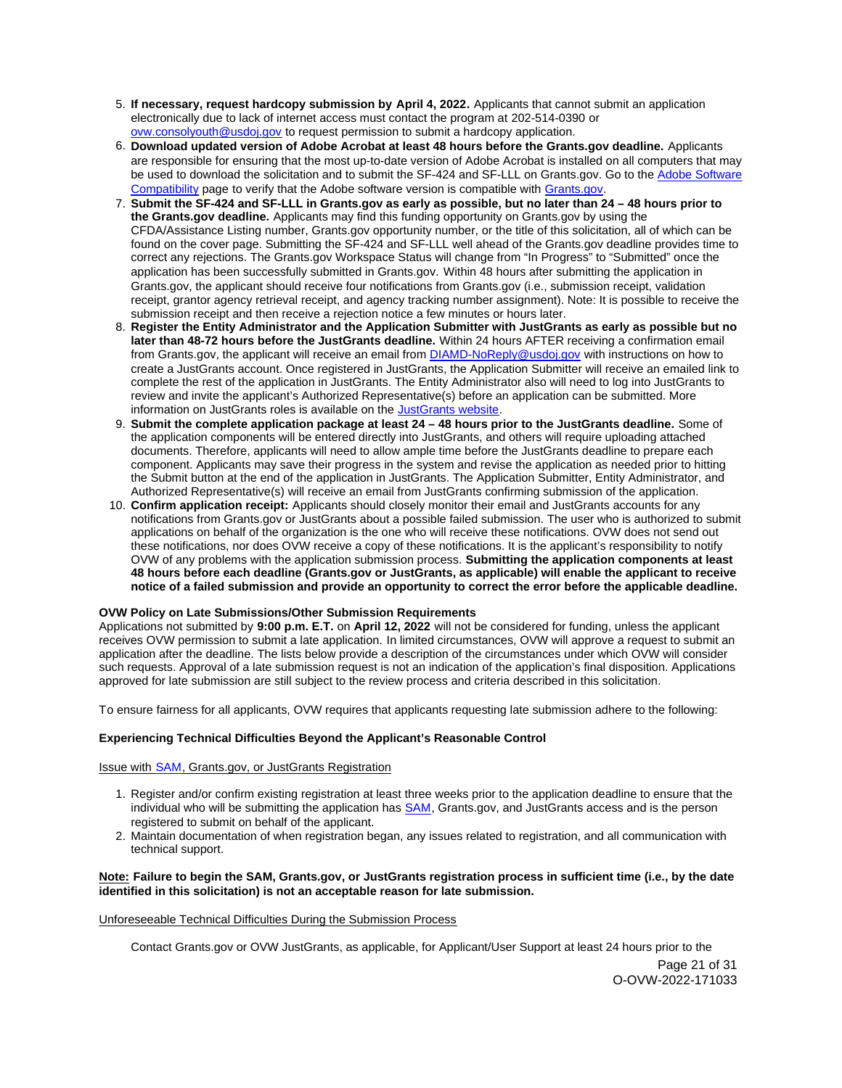- 5. **If necessary, request hardcopy submission by April 4, 2022.** Applicants that cannot submit an application electronically due to lack of internet access must contact the program at 202-514-0390 or [ovw.consolyouth@usdoj.gov](mailto:ovw.consolyouth@usdoj.gov) to request permission to submit a hardcopy application.
- 6. **Download updated version of Adobe Acrobat at least 48 hours before the [Grants.gov](https://Grants.gov) deadline.** Applicants are responsible for ensuring that the most up-to-date version of Adobe Acrobat is installed on all computers that may be used to download the solicitation and to submit the SF-424 and SF-LLL on [Grants.gov](https://Grants.gov). Go to the [Adobe Software](https://www.grants.gov/web/grants/applicants/adobe-software-compatibility.html)  [Compatibility](https://www.grants.gov/web/grants/applicants/adobe-software-compatibility.html) page to verify that the Adobe software version is compatible with [Grants.gov.](http://www.grants.gov)
- 7. **Submit the SF-424 and SF-LLL in [Grants.gov](https://Grants.gov) as early as possible, but no later than 24 48 hours prior to the [Grants.gov](https://Grants.gov) deadline.** Applicants may find this funding opportunity on [Grants.gov](https://Grants.gov) by using the CFDA/Assistance Listing number, [Grants.gov](https://Grants.gov) opportunity number, or the title of this solicitation, all of which can be found on the cover page. Submitting the SF-424 and SF-LLL well ahead of the [Grants.gov](https://Grants.gov) deadline provides time to correct any rejections. The [Grants.gov](https://Grants.gov) Workspace Status will change from "In Progress" to "Submitted" once the application has been successfully submitted in [Grants.gov.](https://Grants.gov) Within 48 hours after submitting the application in [Grants.gov,](https://Grants.gov) the applicant should receive four notifications from [Grants.gov](https://Grants.gov) (i.e., submission receipt, validation receipt, grantor agency retrieval receipt, and agency tracking number assignment). Note: It is possible to receive the submission receipt and then receive a rejection notice a few minutes or hours later.
- 8. **Register the Entity Administrator and the Application Submitter with JustGrants as early as possible but no later than 48-72 hours before the JustGrants deadline.** Within 24 hours AFTER receiving a confirmation email from [Grants.gov](https://Grants.gov), the applicant will receive an email from **DIAMD-NoReply@usdoj.gov** with instructions on how to create a JustGrants account. Once registered in JustGrants, the Application Submitter will receive an emailed link to complete the rest of the application in JustGrants. The Entity Administrator also will need to log into JustGrants to review and invite the applicant's Authorized Representative(s) before an application can be submitted. More information on JustGrants roles is available on the [JustGrants website.](https://justicegrants.usdoj.gov/getting-started#secureOnboarding)
- 9. **Submit the complete application package at least 24 48 hours prior to the JustGrants deadline.** Some of the application components will be entered directly into JustGrants, and others will require uploading attached documents. Therefore, applicants will need to allow ample time before the JustGrants deadline to prepare each component. Applicants may save their progress in the system and revise the application as needed prior to hitting the Submit button at the end of the application in JustGrants. The Application Submitter, Entity Administrator, and Authorized Representative(s) will receive an email from JustGrants confirming submission of the application.
- 10. **Confirm application receipt:** Applicants should closely monitor their email and JustGrants accounts for any notifications from [Grants.gov](https://Grants.gov) or JustGrants about a possible failed submission. The user who is authorized to submit applications on behalf of the organization is the one who will receive these notifications. OVW does not send out these notifications, nor does OVW receive a copy of these notifications. It is the applicant's responsibility to notify OVW of any problems with the application submission process. **Submitting the application components at least 48 hours before each deadline ([Grants.gov](https://Grants.gov) or JustGrants, as applicable) will enable the applicant to receive notice of a failed submission and provide an opportunity to correct the error before the applicable deadline.**

## **OVW Policy on Late Submissions/Other Submission Requirements**

Applications not submitted by **9:00 p.m. E.T.** on **April 12, 2022** will not be considered for funding, unless the applicant receives OVW permission to submit a late application. In limited circumstances, OVW will approve a request to submit an application after the deadline. The lists below provide a description of the circumstances under which OVW will consider such requests. Approval of a late submission request is not an indication of the application's final disposition. Applications approved for late submission are still subject to the review process and criteria described in this solicitation.

To ensure fairness for all applicants, OVW requires that applicants requesting late submission adhere to the following:

# **Experiencing Technical Difficulties Beyond the Applicant's Reasonable Control**

# Issue with SAM, [Grants.gov,](https://Grants.gov) or JustGrants Registration

- 1. Register and/or confirm existing registration at least three weeks prior to the application deadline to ensure that the individual who will be submitting the application has [SAM,](https://www.sam.gov/portal/SAM/#1) [Grants.gov,](https://Grants.gov) and JustGrants access and is the person registered to submit on behalf of the applicant.
- 2. Maintain documentation of when registration began, any issues related to registration, and all communication with technical support.

## **Note: Failure to begin the SAM, [Grants.gov,](https://Grants.gov) or JustGrants registration process in sufficient time (i.e., by the date identified in this solicitation) is not an acceptable reason for late submission.**

## Unforeseeable Technical Difficulties During the Submission Process

Contact [Grants.gov](https://Grants.gov) or OVW JustGrants, as applicable, for Applicant/User Support at least 24 hours prior to the

Page 21 of 31 O-OVW-2022-171033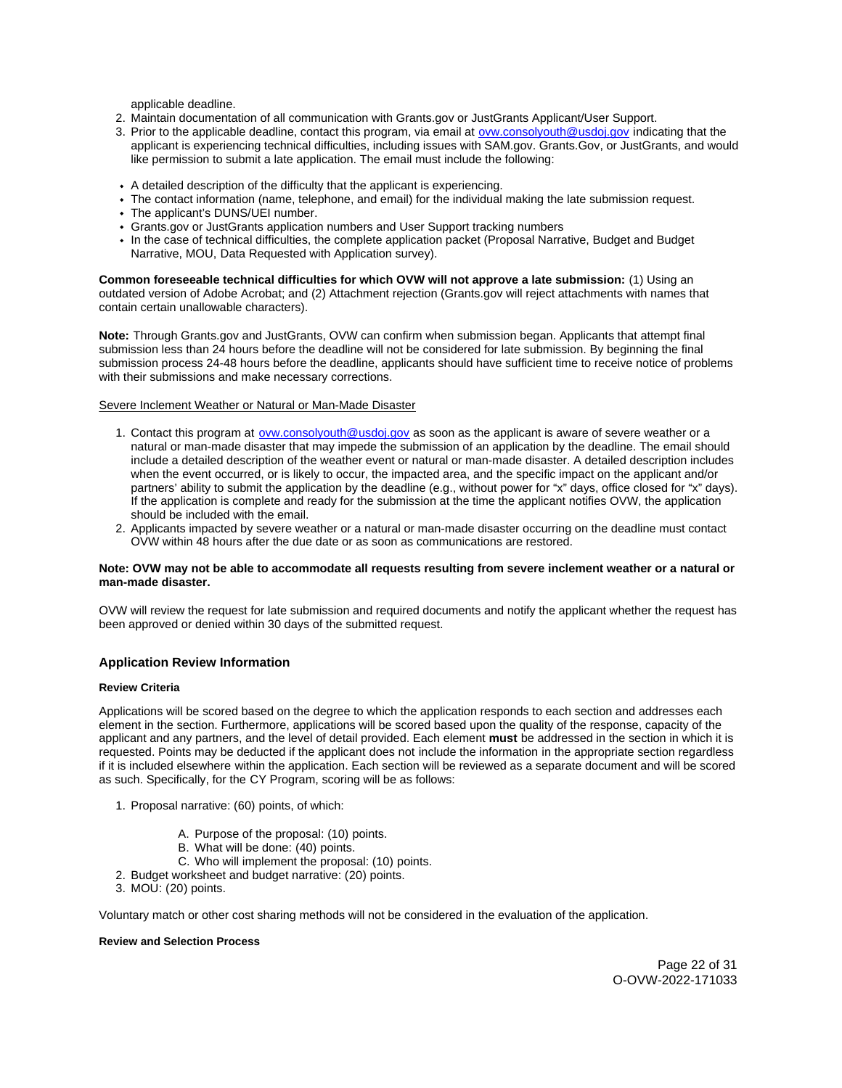applicable deadline.

- 2. Maintain documentation of all communication with [Grants.gov](https://Grants.gov) or JustGrants Applicant/User Support.
- 3. Prior to the applicable deadline, contact this program, via email at [ovw.consolyouth@usdoj.gov](mailto:ovw.consolyouth@usdoj.gov) indicating that the applicant is experiencing technical difficulties, including issues with SAM.gov. [Grants.Gov](https://Grants.Gov), or JustGrants, and would like permission to submit a late application. The email must include the following:
- A detailed description of the difficulty that the applicant is experiencing.
- The contact information (name, telephone, and email) for the individual making the late submission request.
- The applicant's DUNS/UEI number.
- [Grants.gov](https://Grants.gov) or JustGrants application numbers and User Support tracking numbers
- In the case of technical difficulties, the complete application packet (Proposal Narrative, Budget and Budget Narrative, MOU, Data Requested with Application survey).

**Common foreseeable technical difficulties for which OVW will not approve a late submission:** (1) Using an outdated version of Adobe Acrobat; and (2) Attachment rejection [\(Grants.gov](https://Grants.gov) will reject attachments with names that contain certain unallowable characters).

**Note:** Through [Grants.gov](https://Grants.gov) and JustGrants, OVW can confirm when submission began. Applicants that attempt final submission less than 24 hours before the deadline will not be considered for late submission. By beginning the final submission process 24-48 hours before the deadline, applicants should have sufficient time to receive notice of problems with their submissions and make necessary corrections.

# Severe Inclement Weather or Natural or Man-Made Disaster

- 1. Contact this program at [ovw.consolyouth@usdoj.gov](mailto:ovw.consolyouth@usdoj.gov) as soon as the applicant is aware of severe weather or a natural or man-made disaster that may impede the submission of an application by the deadline. The email should include a detailed description of the weather event or natural or man-made disaster. A detailed description includes when the event occurred, or is likely to occur, the impacted area, and the specific impact on the applicant and/or partners' ability to submit the application by the deadline (e.g., without power for "x" days, office closed for "x" days). If the application is complete and ready for the submission at the time the applicant notifies OVW, the application should be included with the email.
- 2. Applicants impacted by severe weather or a natural or man-made disaster occurring on the deadline must contact OVW within 48 hours after the due date or as soon as communications are restored.

#### **Note: OVW may not be able to accommodate all requests resulting from severe inclement weather or a natural or man-made disaster.**

OVW will review the request for late submission and required documents and notify the applicant whether the request has been approved or denied within 30 days of the submitted request.

## **Application Review Information**

#### **Review Criteria**

Applications will be scored based on the degree to which the application responds to each section and addresses each element in the section. Furthermore, applications will be scored based upon the quality of the response, capacity of the applicant and any partners, and the level of detail provided. Each element **must** be addressed in the section in which it is requested. Points may be deducted if the applicant does not include the information in the appropriate section regardless if it is included elsewhere within the application. Each section will be reviewed as a separate document and will be scored as such. Specifically, for the CY Program, scoring will be as follows:

- 1. Proposal narrative: (60) points, of which:
	- A. Purpose of the proposal: (10) points.
	- B. What will be done: (40) points.
	- C. Who will implement the proposal: (10) points.
- 2. Budget worksheet and budget narrative: (20) points.
- 3. MOU: (20) points.

Voluntary match or other cost sharing methods will not be considered in the evaluation of the application.

#### **Review and Selection Process**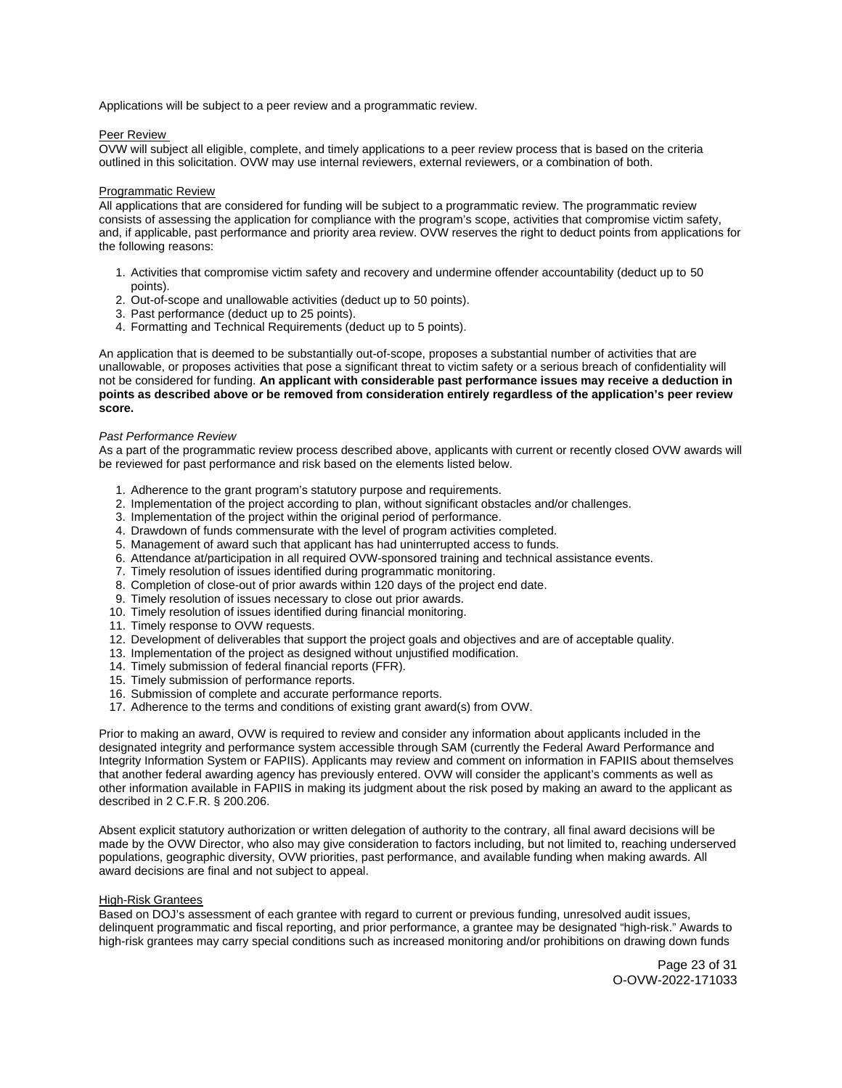Applications will be subject to a peer review and a programmatic review.

## Peer Review

OVW will subject all eligible, complete, and timely applications to a peer review process that is based on the criteria outlined in this solicitation. OVW may use internal reviewers, external reviewers, or a combination of both.

#### Programmatic Review

All applications that are considered for funding will be subject to a programmatic review. The programmatic review consists of assessing the application for compliance with the program's scope, activities that compromise victim safety, and, if applicable, past performance and priority area review. OVW reserves the right to deduct points from applications for the following reasons:

- 1. Activities that compromise victim safety and recovery and undermine offender accountability (deduct up to 50 points).
- 2. Out-of-scope and unallowable activities (deduct up to 50 points).
- 3. Past performance (deduct up to 25 points).
- 4. Formatting and Technical Requirements (deduct up to 5 points).

An application that is deemed to be substantially out-of-scope, proposes a substantial number of activities that are unallowable, or proposes activities that pose a significant threat to victim safety or a serious breach of confidentiality will not be considered for funding. **An applicant with considerable past performance issues may receive a deduction in points as described above or be removed from consideration entirely regardless of the application's peer review score.** 

### Past Performance Review

As a part of the programmatic review process described above, applicants with current or recently closed OVW awards will be reviewed for past performance and risk based on the elements listed below.

- 1. Adherence to the grant program's statutory purpose and requirements.
- 2. Implementation of the project according to plan, without significant obstacles and/or challenges.
- 3. Implementation of the project within the original period of performance.
- 4. Drawdown of funds commensurate with the level of program activities completed.
- 5. Management of award such that applicant has had uninterrupted access to funds.
- 6. Attendance at/participation in all required OVW-sponsored training and technical assistance events.
- 7. Timely resolution of issues identified during programmatic monitoring.
- 8. Completion of close-out of prior awards within 120 days of the project end date.
- 9. Timely resolution of issues necessary to close out prior awards.
- 10. Timely resolution of issues identified during financial monitoring.
- 11. Timely response to OVW requests.
- 12. Development of deliverables that support the project goals and objectives and are of acceptable quality.
- 13. Implementation of the project as designed without unjustified modification.
- 14. Timely submission of federal financial reports (FFR).
- 15. Timely submission of performance reports.
- 16. Submission of complete and accurate performance reports.
- 17. Adherence to the terms and conditions of existing grant award(s) from OVW.

Prior to making an award, OVW is required to review and consider any information about applicants included in the designated integrity and performance system accessible through SAM (currently the Federal Award Performance and Integrity Information System or FAPIIS). Applicants may review and comment on information in FAPIIS about themselves that another federal awarding agency has previously entered. OVW will consider the applicant's comments as well as other information available in FAPIIS in making its judgment about the risk posed by making an award to the applicant as described in 2 C.F.R. § 200.206.

Absent explicit statutory authorization or written delegation of authority to the contrary, all final award decisions will be made by the OVW Director, who also may give consideration to factors including, but not limited to, reaching underserved populations, geographic diversity, OVW priorities, past performance, and available funding when making awards. All award decisions are final and not subject to appeal.

# High-Risk Grantees

Based on DOJ's assessment of each grantee with regard to current or previous funding, unresolved audit issues, delinquent programmatic and fiscal reporting, and prior performance, a grantee may be designated "high-risk." Awards to high-risk grantees may carry special conditions such as increased monitoring and/or prohibitions on drawing down funds

> Page 23 of 31 O-OVW-2022-171033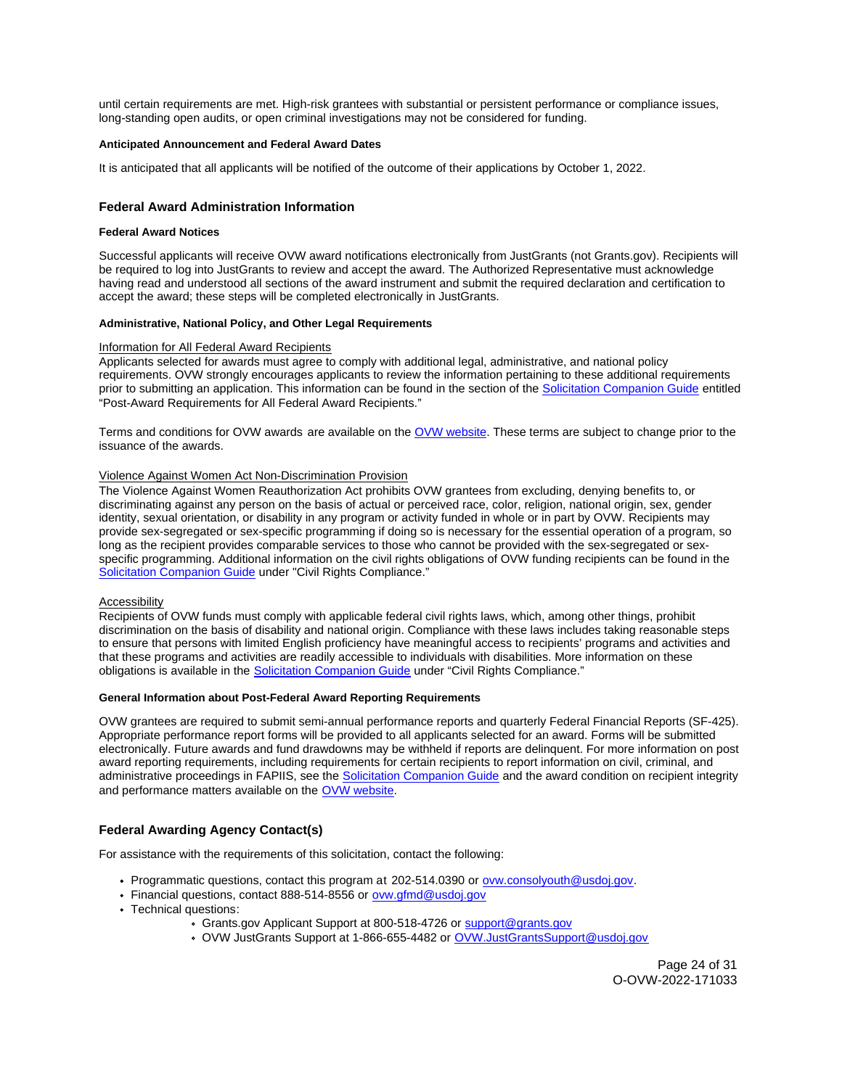until certain requirements are met. High-risk grantees with substantial or persistent performance or compliance issues, long-standing open audits, or open criminal investigations may not be considered for funding.

## **Anticipated Announcement and Federal Award Dates**

It is anticipated that all applicants will be notified of the outcome of their applications by October 1, 2022.

## **Federal Award Administration Information**

#### **Federal Award Notices**

Successful applicants will receive OVW award notifications electronically from JustGrants (not [Grants.gov](https://Grants.gov)). Recipients will be required to log into JustGrants to review and accept the award. The Authorized Representative must acknowledge having read and understood all sections of the award instrument and submit the required declaration and certification to accept the award; these steps will be completed electronically in JustGrants.

## **Administrative, National Policy, and Other Legal Requirements**

#### Information for All Federal Award Recipients

Applicants selected for awards must agree to comply with additional legal, administrative, and national policy requirements. OVW strongly encourages applicants to review the information pertaining to these additional requirements prior to submitting an application. This information can be found in the section of the [Solicitation Companion Guide](https://www.justice.gov/ovw/resources-applicants) entitled "Post-Award Requirements for All Federal Award Recipients."

Terms and conditions for OVW awards are available on the [OVW website.](https://www.justice.gov/ovw/award-conditions) These terms are subject to change prior to the issuance of the awards.

## Violence Against Women Act Non-Discrimination Provision

The Violence Against Women Reauthorization Act prohibits OVW grantees from excluding, denying benefits to, or discriminating against any person on the basis of actual or perceived race, color, religion, national origin, sex, gender identity, sexual orientation, or disability in any program or activity funded in whole or in part by OVW. Recipients may provide sex-segregated or sex-specific programming if doing so is necessary for the essential operation of a program, so long as the recipient provides comparable services to those who cannot be provided with the sex-segregated or sexspecific programming. Additional information on the civil rights obligations of OVW funding recipients can be found in the [Solicitation Companion Guide](https://www.justice.gov/ovw/resources-applicants) under "Civil Rights Compliance."

#### Accessibility

Recipients of OVW funds must comply with applicable federal civil rights laws, which, among other things, prohibit discrimination on the basis of disability and national origin. Compliance with these laws includes taking reasonable steps to ensure that persons with limited English proficiency have meaningful access to recipients' programs and activities and that these programs and activities are readily accessible to individuals with disabilities. More information on these obligations is available in the [Solicitation Companion Guide](https://www.justice.gov/ovw/resources-applicants) under "Civil Rights Compliance."

## **General Information about Post-Federal Award Reporting Requirements**

OVW grantees are required to submit semi-annual performance reports and quarterly Federal Financial Reports (SF-425). Appropriate performance report forms will be provided to all applicants selected for an award. Forms will be submitted electronically. Future awards and fund drawdowns may be withheld if reports are delinquent. For more information on post award reporting requirements, including requirements for certain recipients to report information on civil, criminal, and administrative proceedings in FAPIIS, see the [Solicitation Companion Guide](https://www.justice.gov/ovw/resources-applicants) and the award condition on recipient integrity and performance matters available on the [OVW website.](https://www.justice.gov/ovw/award-conditions)

# **Federal Awarding Agency Contact(s)**

For assistance with the requirements of this solicitation, contact the following:

- Programmatic questions, contact this program at 202-514.0390 or [ovw.consolyouth@usdoj.gov.](mailto:ovw.consolyouth@usdoj.gov)
- Financial questions, contact 888-514-8556 or ovw.gfmd@usdoj.gov
- Technical questions:
	- [Grants.gov](https://Grants.gov) Applicant Support at 800-518-4726 or support@grants.gov
	- OVW JustGrants Support at 1-866-655-4482 or [OVW.JustGrantsSupport@usdoj.gov](mailto:OVW.JustGrantsSupport@usdoj.gov)

Page 24 of 31 O-OVW-2022-171033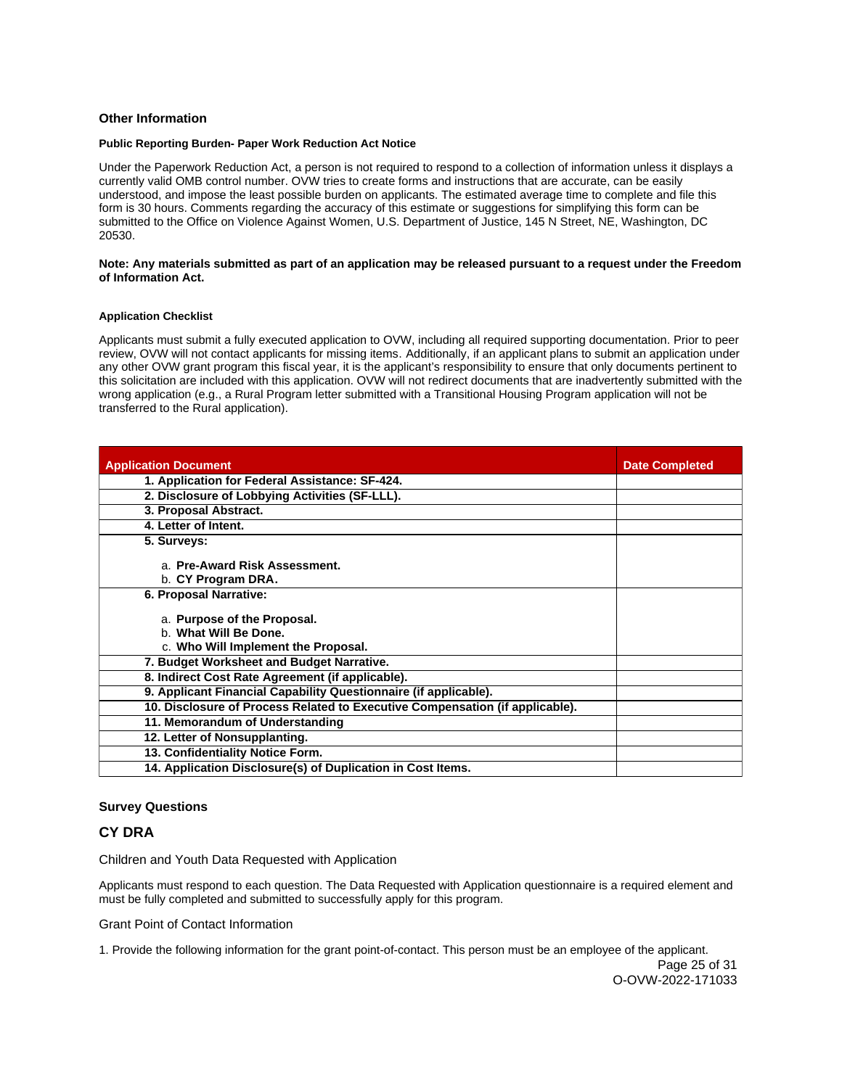## **Other Information**

#### **Public Reporting Burden- Paper Work Reduction Act Notice**

Under the Paperwork Reduction Act, a person is not required to respond to a collection of information unless it displays a currently valid OMB control number. OVW tries to create forms and instructions that are accurate, can be easily understood, and impose the least possible burden on applicants. The estimated average time to complete and file this form is 30 hours. Comments regarding the accuracy of this estimate or suggestions for simplifying this form can be submitted to the Office on Violence Against Women, U.S. Department of Justice, 145 N Street, NE, Washington, DC 20530.

## **Note: Any materials submitted as part of an application may be released pursuant to a request under the Freedom of Information Act.**

# **Application Checklist**

Applicants must submit a fully executed application to OVW, including all required supporting documentation. Prior to peer review, OVW will not contact applicants for missing items. Additionally, if an applicant plans to submit an application under any other OVW grant program this fiscal year, it is the applicant's responsibility to ensure that only documents pertinent to this solicitation are included with this application. OVW will not redirect documents that are inadvertently submitted with the wrong application (e.g., a Rural Program letter submitted with a Transitional Housing Program application will not be transferred to the Rural application).

| <b>Application Document</b>                                                                 | <b>Date Completed</b> |
|---------------------------------------------------------------------------------------------|-----------------------|
| 1. Application for Federal Assistance: SF-424.                                              |                       |
| 2. Disclosure of Lobbying Activities (SF-LLL).                                              |                       |
| 3. Proposal Abstract.                                                                       |                       |
| 4. Letter of Intent.                                                                        |                       |
| 5. Surveys:                                                                                 |                       |
| a. Pre-Award Risk Assessment.<br>b. CY Program DRA.                                         |                       |
| 6. Proposal Narrative:                                                                      |                       |
| a. Purpose of the Proposal.<br>b. What Will Be Done.<br>c. Who Will Implement the Proposal. |                       |
| 7. Budget Worksheet and Budget Narrative.                                                   |                       |
| 8. Indirect Cost Rate Agreement (if applicable).                                            |                       |
| 9. Applicant Financial Capability Questionnaire (if applicable).                            |                       |
| 10. Disclosure of Process Related to Executive Compensation (if applicable).                |                       |
| 11. Memorandum of Understanding                                                             |                       |
| 12. Letter of Nonsupplanting.                                                               |                       |
| 13. Confidentiality Notice Form.                                                            |                       |
| 14. Application Disclosure(s) of Duplication in Cost Items.                                 |                       |

# **Survey Questions**

# **CY DRA**

Children and Youth Data Requested with Application

Applicants must respond to each question. The Data Requested with Application questionnaire is a required element and must be fully completed and submitted to successfully apply for this program.

Grant Point of Contact Information

1. Provide the following information for the grant point-of-contact. This person must be an employee of the applicant.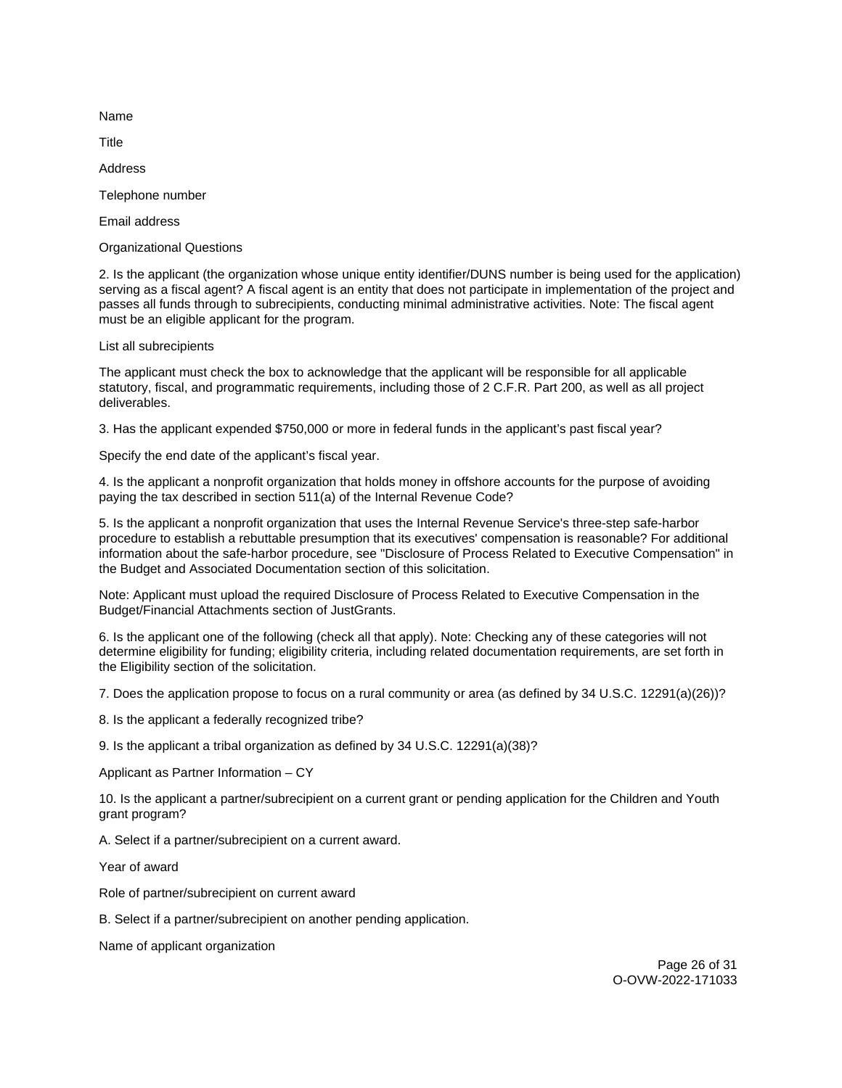Name

**Title** 

Address

Telephone number

Email address

Organizational Questions

2. Is the applicant (the organization whose unique entity identifier/DUNS number is being used for the application) serving as a fiscal agent? A fiscal agent is an entity that does not participate in implementation of the project and passes all funds through to subrecipients, conducting minimal administrative activities. Note: The fiscal agent must be an eligible applicant for the program.

List all subrecipients

The applicant must check the box to acknowledge that the applicant will be responsible for all applicable statutory, fiscal, and programmatic requirements, including those of 2 C.F.R. Part 200, as well as all project deliverables.

3. Has the applicant expended \$750,000 or more in federal funds in the applicant's past fiscal year?

Specify the end date of the applicant's fiscal year.

4. Is the applicant a nonprofit organization that holds money in offshore accounts for the purpose of avoiding paying the tax described in section 511(a) of the Internal Revenue Code?

5. Is the applicant a nonprofit organization that uses the Internal Revenue Service's three-step safe-harbor procedure to establish a rebuttable presumption that its executives' compensation is reasonable? For additional information about the safe-harbor procedure, see "Disclosure of Process Related to Executive Compensation" in the Budget and Associated Documentation section of this solicitation.

Note: Applicant must upload the required Disclosure of Process Related to Executive Compensation in the Budget/Financial Attachments section of JustGrants.

6. Is the applicant one of the following (check all that apply). Note: Checking any of these categories will not determine eligibility for funding; eligibility criteria, including related documentation requirements, are set forth in the Eligibility section of the solicitation.

7. Does the application propose to focus on a rural community or area (as defined by 34 U.S.C. 12291(a)(26))?

8. Is the applicant a federally recognized tribe?

9. Is the applicant a tribal organization as defined by 34 U.S.C. 12291(a)(38)?

Applicant as Partner Information – CY

10. Is the applicant a partner/subrecipient on a current grant or pending application for the Children and Youth grant program?

A. Select if a partner/subrecipient on a current award.

Year of award

Role of partner/subrecipient on current award

B. Select if a partner/subrecipient on another pending application.

Name of applicant organization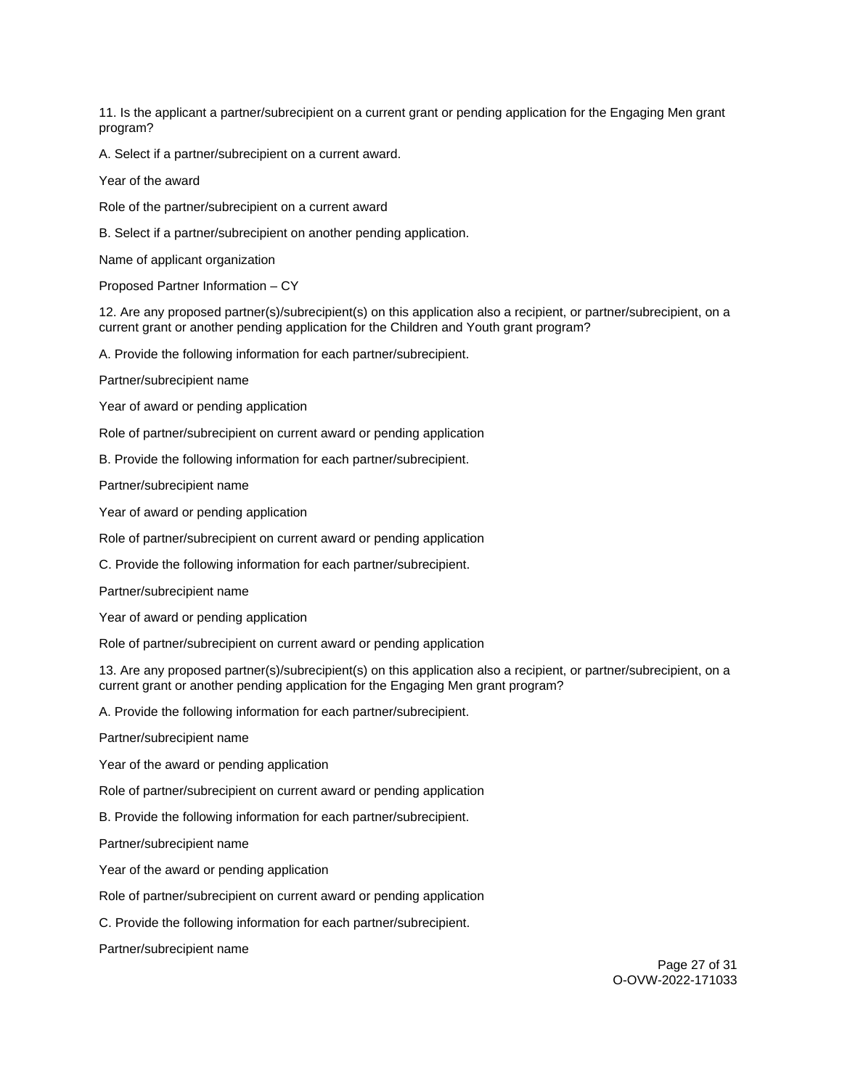11. Is the applicant a partner/subrecipient on a current grant or pending application for the Engaging Men grant program?

A. Select if a partner/subrecipient on a current award.

Year of the award

Role of the partner/subrecipient on a current award

B. Select if a partner/subrecipient on another pending application.

Name of applicant organization

Proposed Partner Information – CY

12. Are any proposed partner(s)/subrecipient(s) on this application also a recipient, or partner/subrecipient, on a current grant or another pending application for the Children and Youth grant program?

A. Provide the following information for each partner/subrecipient.

Partner/subrecipient name

Year of award or pending application

Role of partner/subrecipient on current award or pending application

B. Provide the following information for each partner/subrecipient.

Partner/subrecipient name

Year of award or pending application

Role of partner/subrecipient on current award or pending application

C. Provide the following information for each partner/subrecipient.

Partner/subrecipient name

Year of award or pending application

Role of partner/subrecipient on current award or pending application

13. Are any proposed partner(s)/subrecipient(s) on this application also a recipient, or partner/subrecipient, on a current grant or another pending application for the Engaging Men grant program?

A. Provide the following information for each partner/subrecipient.

Partner/subrecipient name

Year of the award or pending application

Role of partner/subrecipient on current award or pending application

B. Provide the following information for each partner/subrecipient.

Partner/subrecipient name

Year of the award or pending application

Role of partner/subrecipient on current award or pending application

C. Provide the following information for each partner/subrecipient.

Partner/subrecipient name

Page 27 of 31 O-OVW-2022-171033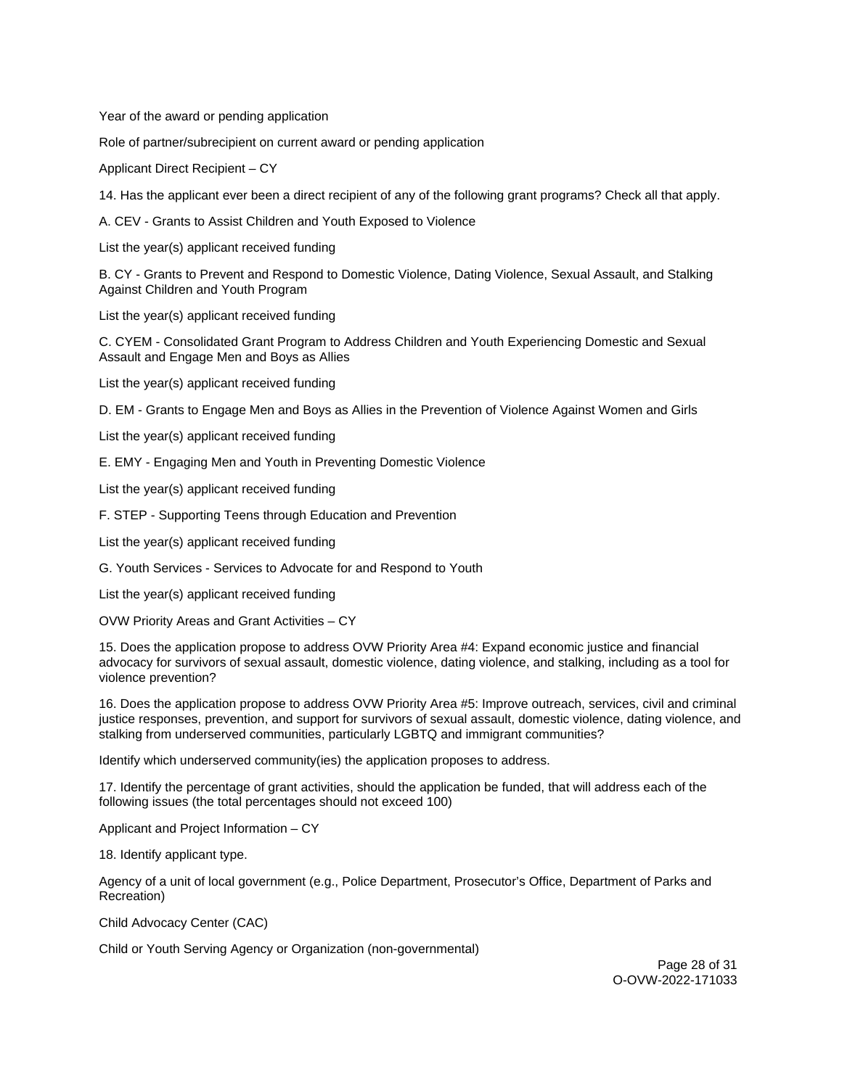Year of the award or pending application

Role of partner/subrecipient on current award or pending application

Applicant Direct Recipient – CY

14. Has the applicant ever been a direct recipient of any of the following grant programs? Check all that apply.

A. CEV - Grants to Assist Children and Youth Exposed to Violence

List the year(s) applicant received funding

B. CY - Grants to Prevent and Respond to Domestic Violence, Dating Violence, Sexual Assault, and Stalking Against Children and Youth Program

List the year(s) applicant received funding

C. CYEM - Consolidated Grant Program to Address Children and Youth Experiencing Domestic and Sexual Assault and Engage Men and Boys as Allies

List the year(s) applicant received funding

D. EM - Grants to Engage Men and Boys as Allies in the Prevention of Violence Against Women and Girls

List the year(s) applicant received funding

E. EMY - Engaging Men and Youth in Preventing Domestic Violence

List the year(s) applicant received funding

F. STEP - Supporting Teens through Education and Prevention

List the year(s) applicant received funding

G. Youth Services - Services to Advocate for and Respond to Youth

List the year(s) applicant received funding

OVW Priority Areas and Grant Activities – CY

15. Does the application propose to address OVW Priority Area #4: Expand economic justice and financial advocacy for survivors of sexual assault, domestic violence, dating violence, and stalking, including as a tool for violence prevention?

16. Does the application propose to address OVW Priority Area #5: Improve outreach, services, civil and criminal justice responses, prevention, and support for survivors of sexual assault, domestic violence, dating violence, and stalking from underserved communities, particularly LGBTQ and immigrant communities?

Identify which underserved community(ies) the application proposes to address.

17. Identify the percentage of grant activities, should the application be funded, that will address each of the following issues (the total percentages should not exceed 100)

Applicant and Project Information – CY

18. Identify applicant type.

Agency of a unit of local government (e.g., Police Department, Prosecutor's Office, Department of Parks and Recreation)

Child Advocacy Center (CAC)

Child or Youth Serving Agency or Organization (non-governmental)

Page 28 of 31 O-OVW-2022-171033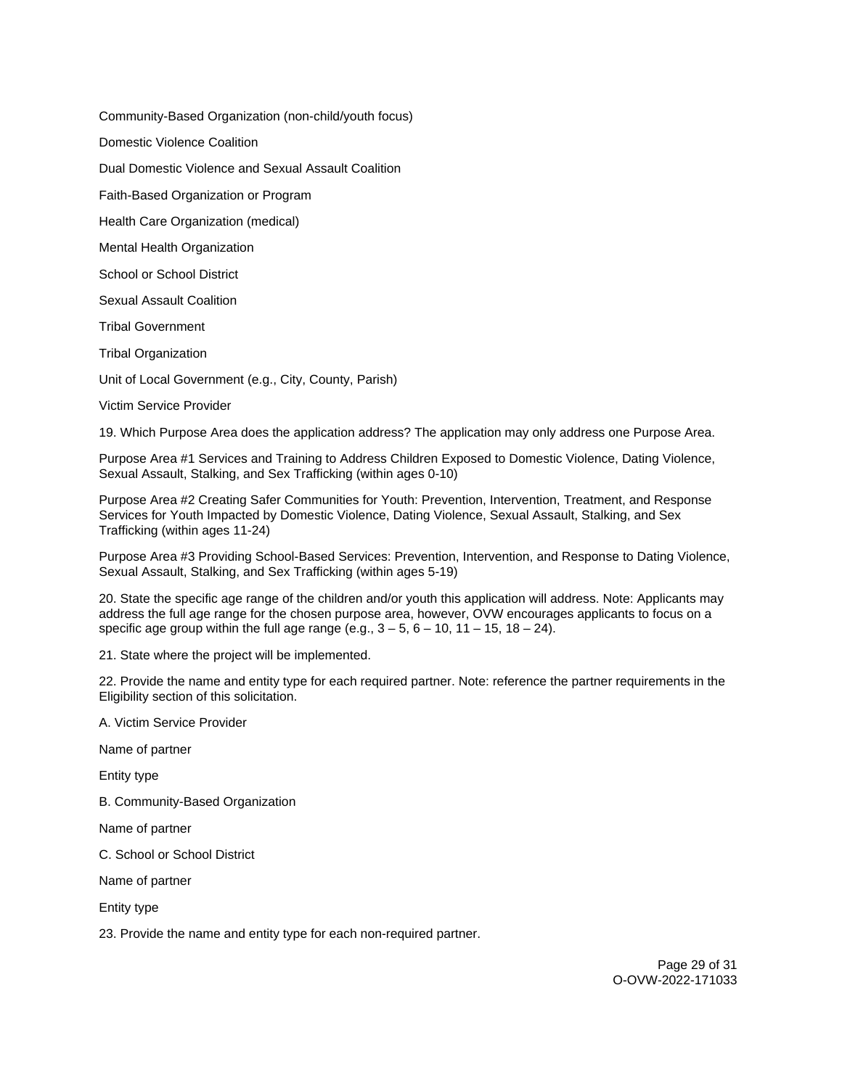Community-Based Organization (non-child/youth focus)

Domestic Violence Coalition

Dual Domestic Violence and Sexual Assault Coalition

Faith-Based Organization or Program

Health Care Organization (medical)

Mental Health Organization

School or School District

Sexual Assault Coalition

Tribal Government

Tribal Organization

Unit of Local Government (e.g., City, County, Parish)

Victim Service Provider

19. Which Purpose Area does the application address? The application may only address one Purpose Area.

Purpose Area #1 Services and Training to Address Children Exposed to Domestic Violence, Dating Violence, Sexual Assault, Stalking, and Sex Trafficking (within ages 0-10)

Purpose Area #2 Creating Safer Communities for Youth: Prevention, Intervention, Treatment, and Response Services for Youth Impacted by Domestic Violence, Dating Violence, Sexual Assault, Stalking, and Sex Trafficking (within ages 11-24)

Purpose Area #3 Providing School-Based Services: Prevention, Intervention, and Response to Dating Violence, Sexual Assault, Stalking, and Sex Trafficking (within ages 5-19)

20. State the specific age range of the children and/or youth this application will address. Note: Applicants may address the full age range for the chosen purpose area, however, OVW encourages applicants to focus on a specific age group within the full age range (e.g.,  $3 - 5$ ,  $6 - 10$ ,  $11 - 15$ ,  $18 - 24$ ).

21. State where the project will be implemented.

22. Provide the name and entity type for each required partner. Note: reference the partner requirements in the Eligibility section of this solicitation.

A. Victim Service Provider

Name of partner

Entity type

B. Community-Based Organization

Name of partner

C. School or School District

Name of partner

Entity type

23. Provide the name and entity type for each non-required partner.

Page 29 of 31 O-OVW-2022-171033